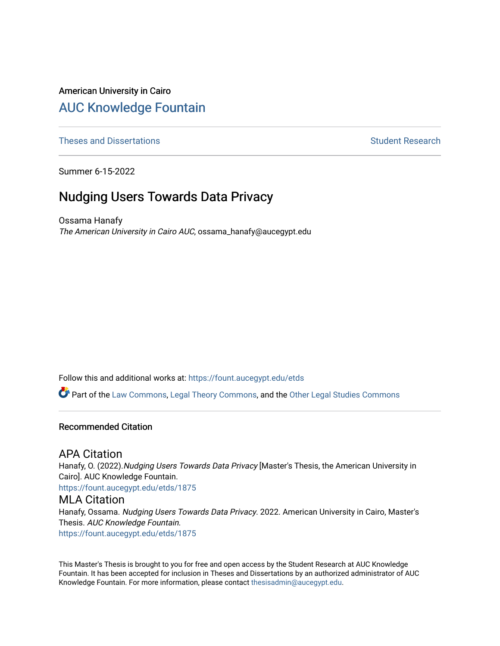# American University in Cairo [AUC Knowledge Fountain](https://fount.aucegypt.edu/)

[Theses and Dissertations](https://fount.aucegypt.edu/etds) **Student Research** Student Research

Summer 6-15-2022

# Nudging Users Towards Data Privacy

Ossama Hanafy The American University in Cairo AUC, ossama\_hanafy@aucegypt.edu

Follow this and additional works at: [https://fount.aucegypt.edu/etds](https://fount.aucegypt.edu/etds?utm_source=fount.aucegypt.edu%2Fetds%2F1875&utm_medium=PDF&utm_campaign=PDFCoverPages) 

Part of the [Law Commons](http://network.bepress.com/hgg/discipline/578?utm_source=fount.aucegypt.edu%2Fetds%2F1875&utm_medium=PDF&utm_campaign=PDFCoverPages), [Legal Theory Commons,](http://network.bepress.com/hgg/discipline/369?utm_source=fount.aucegypt.edu%2Fetds%2F1875&utm_medium=PDF&utm_campaign=PDFCoverPages) and the [Other Legal Studies Commons](http://network.bepress.com/hgg/discipline/370?utm_source=fount.aucegypt.edu%2Fetds%2F1875&utm_medium=PDF&utm_campaign=PDFCoverPages) 

### Recommended Citation

# APA Citation

Hanafy, O. (2022). Nudging Users Towards Data Privacy [Master's Thesis, the American University in Cairo]. AUC Knowledge Fountain.

[https://fount.aucegypt.edu/etds/1875](https://fount.aucegypt.edu/etds/1875?utm_source=fount.aucegypt.edu%2Fetds%2F1875&utm_medium=PDF&utm_campaign=PDFCoverPages)

# MLA Citation

Hanafy, Ossama. Nudging Users Towards Data Privacy. 2022. American University in Cairo, Master's Thesis. AUC Knowledge Fountain. [https://fount.aucegypt.edu/etds/1875](https://fount.aucegypt.edu/etds/1875?utm_source=fount.aucegypt.edu%2Fetds%2F1875&utm_medium=PDF&utm_campaign=PDFCoverPages)

This Master's Thesis is brought to you for free and open access by the Student Research at AUC Knowledge Fountain. It has been accepted for inclusion in Theses and Dissertations by an authorized administrator of AUC Knowledge Fountain. For more information, please contact [thesisadmin@aucegypt.edu.](mailto:thesisadmin@aucegypt.edu)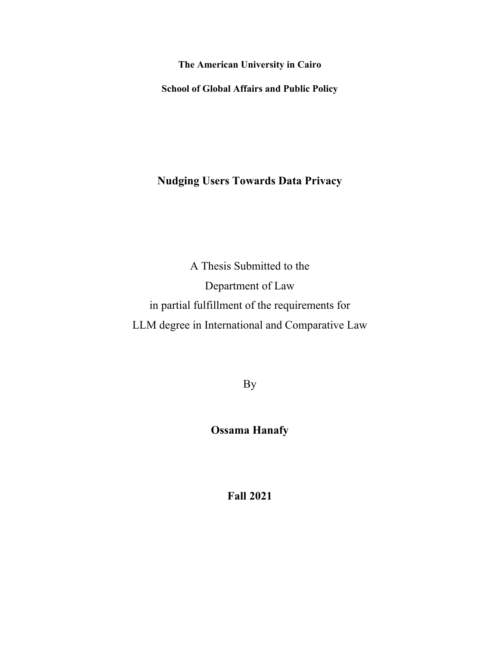**The American University in Cairo** 

**School of Global Affairs and Public Policy** 

**Nudging Users Towards Data Privacy** 

A Thesis Submitted to the Department of Law in partial fulfillment of the requirements for LLM degree in International and Comparative Law

By

**Ossama Hanafy** 

**Fall 2021**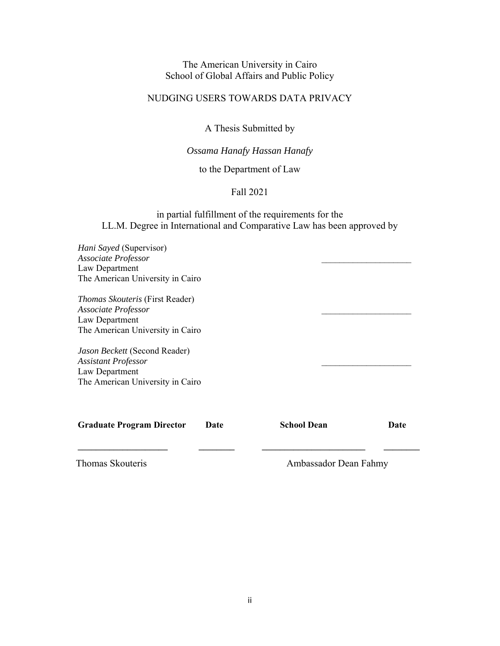# The American University in Cairo School of Global Affairs and Public Policy

# NUDGING USERS TOWARDS DATA PRIVACY

A Thesis Submitted by

# *Ossama Hanafy Hassan Hanafy*

to the Department of Law

#### Fall 2021

# in partial fulfillment of the requirements for the LL.M. Degree in International and Comparative Law has been approved by

| Hani Sayed (Supervisor)<br>Associate Professor<br>Law Department<br>The American University in Cairo                |                    |                       |  |
|---------------------------------------------------------------------------------------------------------------------|--------------------|-----------------------|--|
| <i>Thomas Skouteris</i> (First Reader)<br>Associate Professor<br>Law Department<br>The American University in Cairo |                    |                       |  |
| Jason Beckett (Second Reader)<br><b>Assistant Professor</b><br>Law Department<br>The American University in Cairo   |                    |                       |  |
| <b>Graduate Program Director</b><br>Date                                                                            | <b>School Dean</b> | Date                  |  |
| Thomas Skouteris                                                                                                    |                    | Ambassador Dean Fahmy |  |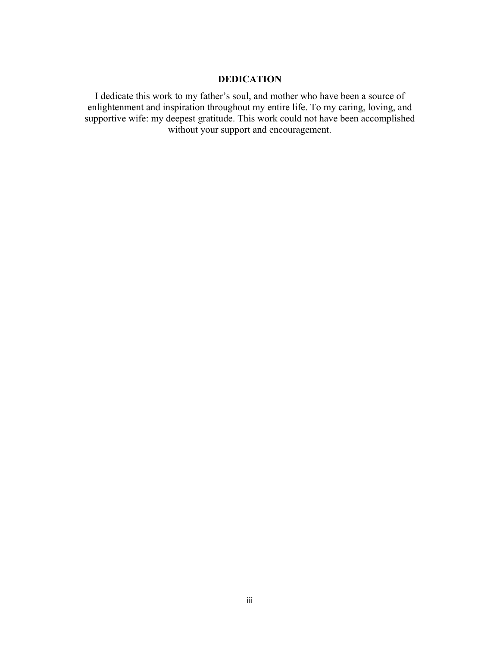# **DEDICATION**

I dedicate this work to my father's soul, and mother who have been a source of enlightenment and inspiration throughout my entire life. To my caring, loving, and supportive wife: my deepest gratitude. This work could not have been accomplished without your support and encouragement.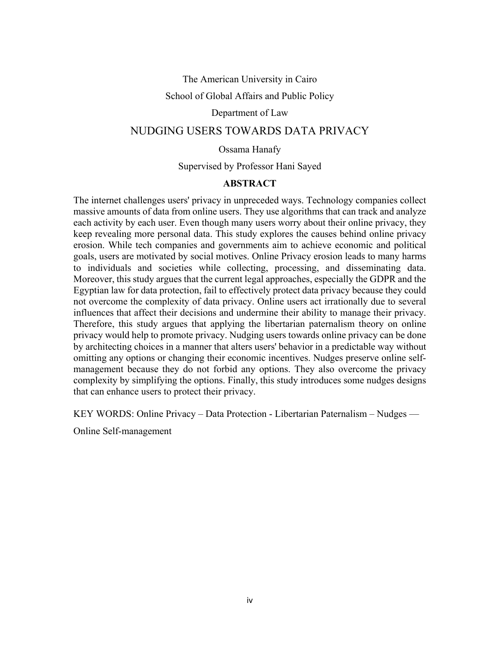#### The American University in Cairo

School of Global Affairs and Public Policy

#### Department of Law

# NUDGING USERS TOWARDS DATA PRIVACY

#### Ossama Hanafy

Supervised by Professor Hani Sayed

#### **ABSTRACT**

The internet challenges users' privacy in unpreceded ways. Technology companies collect massive amounts of data from online users. They use algorithms that can track and analyze each activity by each user. Even though many users worry about their online privacy, they keep revealing more personal data. This study explores the causes behind online privacy erosion. While tech companies and governments aim to achieve economic and political goals, users are motivated by social motives. Online Privacy erosion leads to many harms to individuals and societies while collecting, processing, and disseminating data. Moreover, this study argues that the current legal approaches, especially the GDPR and the Egyptian law for data protection, fail to effectively protect data privacy because they could not overcome the complexity of data privacy. Online users act irrationally due to several influences that affect their decisions and undermine their ability to manage their privacy. Therefore, this study argues that applying the libertarian paternalism theory on online privacy would help to promote privacy. Nudging users towards online privacy can be done by architecting choices in a manner that alters users' behavior in a predictable way without omitting any options or changing their economic incentives. Nudges preserve online selfmanagement because they do not forbid any options. They also overcome the privacy complexity by simplifying the options. Finally, this study introduces some nudges designs that can enhance users to protect their privacy.

KEY WORDS: Online Privacy – Data Protection - Libertarian Paternalism – Nudges ––

Online Self-management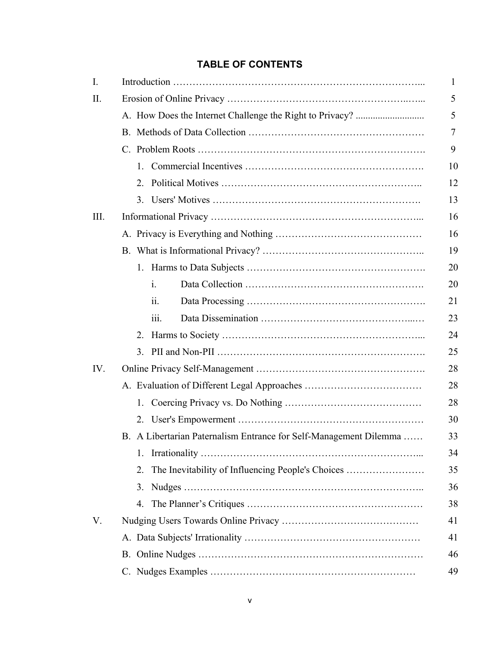# **TABLE OF CONTENTS**

| I.   |                                                                   | 1  |
|------|-------------------------------------------------------------------|----|
| Π.   |                                                                   | 5  |
|      |                                                                   | 5  |
|      |                                                                   | 7  |
|      |                                                                   | 9  |
|      | 1.                                                                | 10 |
|      | 2.                                                                | 12 |
|      | 3.                                                                | 13 |
| III. |                                                                   | 16 |
|      |                                                                   | 16 |
|      |                                                                   | 19 |
|      |                                                                   | 20 |
|      | $\mathbf{i}$ .                                                    | 20 |
|      | 11.                                                               | 21 |
|      | iii.                                                              | 23 |
|      | 2.                                                                | 24 |
|      | 3.                                                                | 25 |
| IV.  |                                                                   | 28 |
|      |                                                                   | 28 |
|      | 1.                                                                | 28 |
|      |                                                                   | 30 |
|      | B. A Libertarian Paternalism Entrance for Self-Management Dilemma | 33 |
|      | 1.                                                                | 34 |
|      | The Inevitability of Influencing People's Choices<br>2.           | 35 |
|      | 3.                                                                | 36 |
|      | 4.                                                                | 38 |
| V.   |                                                                   | 41 |
|      |                                                                   | 41 |
|      |                                                                   | 46 |
|      |                                                                   | 49 |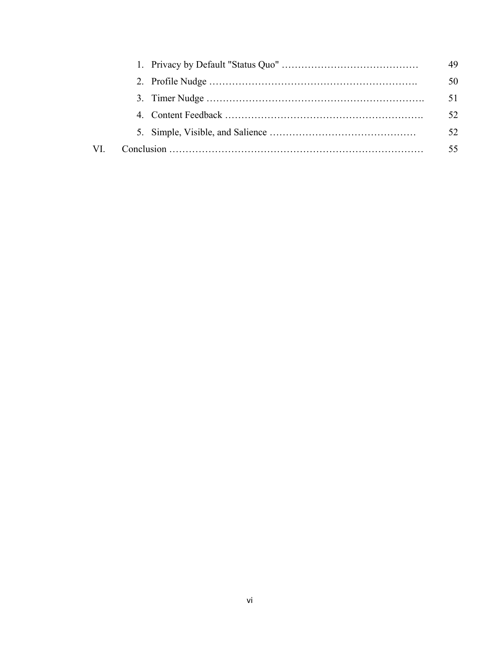|     |  | 49  |
|-----|--|-----|
|     |  | 50  |
|     |  | 51  |
|     |  | 52. |
|     |  | 52  |
| VI. |  | 55  |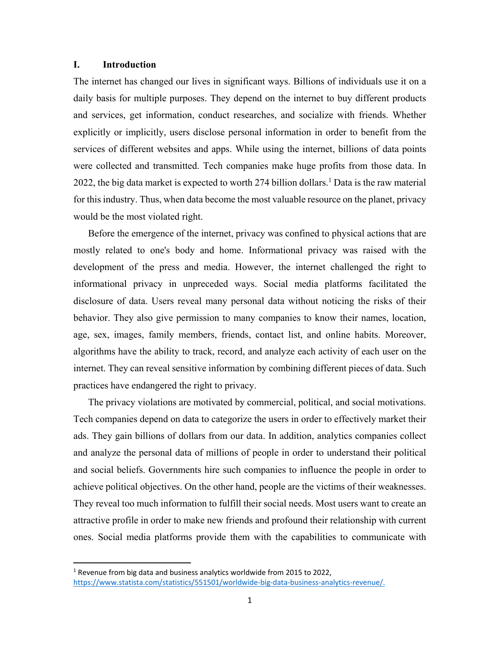#### **I. Introduction**

The internet has changed our lives in significant ways. Billions of individuals use it on a daily basis for multiple purposes. They depend on the internet to buy different products and services, get information, conduct researches, and socialize with friends. Whether explicitly or implicitly, users disclose personal information in order to benefit from the services of different websites and apps. While using the internet, billions of data points were collected and transmitted. Tech companies make huge profits from those data. In 2022, the big data market is expected to worth 274 billion dollars.<sup>1</sup> Data is the raw material for this industry. Thus, when data become the most valuable resource on the planet, privacy would be the most violated right.

Before the emergence of the internet, privacy was confined to physical actions that are mostly related to one's body and home. Informational privacy was raised with the development of the press and media. However, the internet challenged the right to informational privacy in unpreceded ways. Social media platforms facilitated the disclosure of data. Users reveal many personal data without noticing the risks of their behavior. They also give permission to many companies to know their names, location, age, sex, images, family members, friends, contact list, and online habits. Moreover, algorithms have the ability to track, record, and analyze each activity of each user on the internet. They can reveal sensitive information by combining different pieces of data. Such practices have endangered the right to privacy.

The privacy violations are motivated by commercial, political, and social motivations. Tech companies depend on data to categorize the users in order to effectively market their ads. They gain billions of dollars from our data. In addition, analytics companies collect and analyze the personal data of millions of people in order to understand their political and social beliefs. Governments hire such companies to influence the people in order to achieve political objectives. On the other hand, people are the victims of their weaknesses. They reveal too much information to fulfill their social needs. Most users want to create an attractive profile in order to make new friends and profound their relationship with current ones. Social media platforms provide them with the capabilities to communicate with

 $<sup>1</sup>$  Revenue from big data and business analytics worldwide from 2015 to 2022,</sup> https://www.statista.com/statistics/551501/worldwide-big-data-business-analytics-revenue/.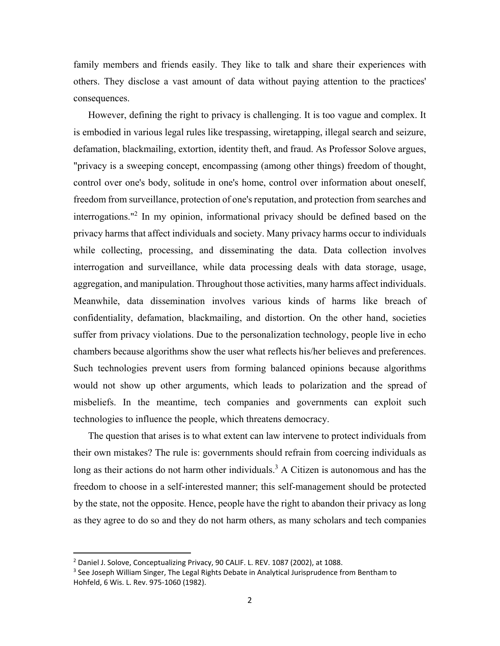family members and friends easily. They like to talk and share their experiences with others. They disclose a vast amount of data without paying attention to the practices' consequences.

However, defining the right to privacy is challenging. It is too vague and complex. It is embodied in various legal rules like trespassing, wiretapping, illegal search and seizure, defamation, blackmailing, extortion, identity theft, and fraud. As Professor Solove argues, "privacy is a sweeping concept, encompassing (among other things) freedom of thought, control over one's body, solitude in one's home, control over information about oneself, freedom from surveillance, protection of one's reputation, and protection from searches and interrogations."2 In my opinion, informational privacy should be defined based on the privacy harms that affect individuals and society. Many privacy harms occur to individuals while collecting, processing, and disseminating the data. Data collection involves interrogation and surveillance, while data processing deals with data storage, usage, aggregation, and manipulation. Throughout those activities, many harms affect individuals. Meanwhile, data dissemination involves various kinds of harms like breach of confidentiality, defamation, blackmailing, and distortion. On the other hand, societies suffer from privacy violations. Due to the personalization technology, people live in echo chambers because algorithms show the user what reflects his/her believes and preferences. Such technologies prevent users from forming balanced opinions because algorithms would not show up other arguments, which leads to polarization and the spread of misbeliefs. In the meantime, tech companies and governments can exploit such technologies to influence the people, which threatens democracy.

The question that arises is to what extent can law intervene to protect individuals from their own mistakes? The rule is: governments should refrain from coercing individuals as long as their actions do not harm other individuals.<sup>3</sup> A Citizen is autonomous and has the freedom to choose in a self-interested manner; this self-management should be protected by the state, not the opposite. Hence, people have the right to abandon their privacy as long as they agree to do so and they do not harm others, as many scholars and tech companies

<sup>&</sup>lt;sup>2</sup> Daniel J. Solove, Conceptualizing Privacy, 90 CALIF. L. REV. 1087 (2002), at 1088.

<sup>&</sup>lt;sup>3</sup> See Joseph William Singer, The Legal Rights Debate in Analytical Jurisprudence from Bentham to Hohfeld, 6 Wis. L. Rev. 975‐1060 (1982).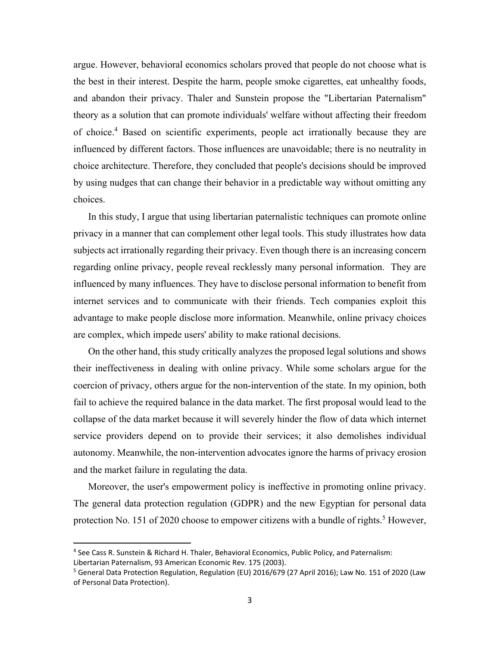argue. However, behavioral economics scholars proved that people do not choose what is the best in their interest. Despite the harm, people smoke cigarettes, eat unhealthy foods, and abandon their privacy. Thaler and Sunstein propose the "Libertarian Paternalism" theory as a solution that can promote individuals' welfare without affecting their freedom of choice.<sup>4</sup> Based on scientific experiments, people act irrationally because they are influenced by different factors. Those influences are unavoidable; there is no neutrality in choice architecture. Therefore, they concluded that people's decisions should be improved by using nudges that can change their behavior in a predictable way without omitting any choices.

In this study, I argue that using libertarian paternalistic techniques can promote online privacy in a manner that can complement other legal tools. This study illustrates how data subjects act irrationally regarding their privacy. Even though there is an increasing concern regarding online privacy, people reveal recklessly many personal information. They are influenced by many influences. They have to disclose personal information to benefit from internet services and to communicate with their friends. Tech companies exploit this advantage to make people disclose more information. Meanwhile, online privacy choices are complex, which impede users' ability to make rational decisions.

On the other hand, this study critically analyzes the proposed legal solutions and shows their ineffectiveness in dealing with online privacy. While some scholars argue for the coercion of privacy, others argue for the non-intervention of the state. In my opinion, both fail to achieve the required balance in the data market. The first proposal would lead to the collapse of the data market because it will severely hinder the flow of data which internet service providers depend on to provide their services; it also demolishes individual autonomy. Meanwhile, the non-intervention advocates ignore the harms of privacy erosion and the market failure in regulating the data.

Moreover, the user's empowerment policy is ineffective in promoting online privacy. The general data protection regulation (GDPR) and the new Egyptian for personal data protection No. 151 of 2020 choose to empower citizens with a bundle of rights.<sup>5</sup> However,

<sup>4</sup> See Cass R. Sunstein & Richard H. Thaler, Behavioral Economics, Public Policy, and Paternalism:

Libertarian Paternalism, 93 American Economic Rev. 175 (2003).

<sup>&</sup>lt;sup>5</sup> General Data Protection Regulation, Regulation (EU) 2016/679 (27 April 2016); Law No. 151 of 2020 (Law of Personal Data Protection).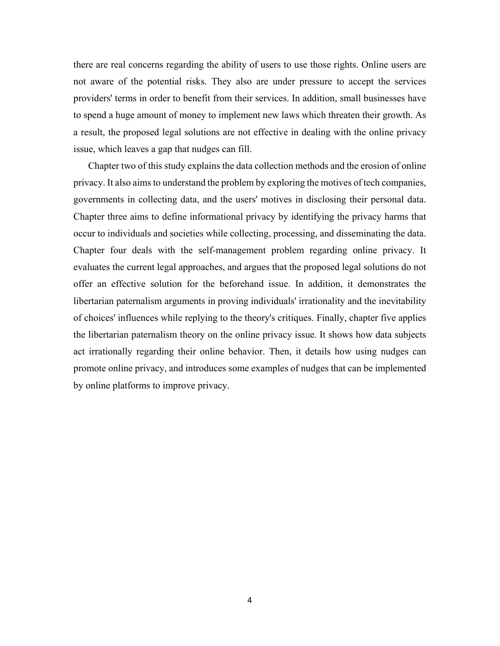there are real concerns regarding the ability of users to use those rights. Online users are not aware of the potential risks. They also are under pressure to accept the services providers' terms in order to benefit from their services. In addition, small businesses have to spend a huge amount of money to implement new laws which threaten their growth. As a result, the proposed legal solutions are not effective in dealing with the online privacy issue, which leaves a gap that nudges can fill.

Chapter two of this study explains the data collection methods and the erosion of online privacy. It also aims to understand the problem by exploring the motives of tech companies, governments in collecting data, and the users' motives in disclosing their personal data. Chapter three aims to define informational privacy by identifying the privacy harms that occur to individuals and societies while collecting, processing, and disseminating the data. Chapter four deals with the self-management problem regarding online privacy. It evaluates the current legal approaches, and argues that the proposed legal solutions do not offer an effective solution for the beforehand issue. In addition, it demonstrates the libertarian paternalism arguments in proving individuals' irrationality and the inevitability of choices' influences while replying to the theory's critiques. Finally, chapter five applies the libertarian paternalism theory on the online privacy issue. It shows how data subjects act irrationally regarding their online behavior. Then, it details how using nudges can promote online privacy, and introduces some examples of nudges that can be implemented by online platforms to improve privacy.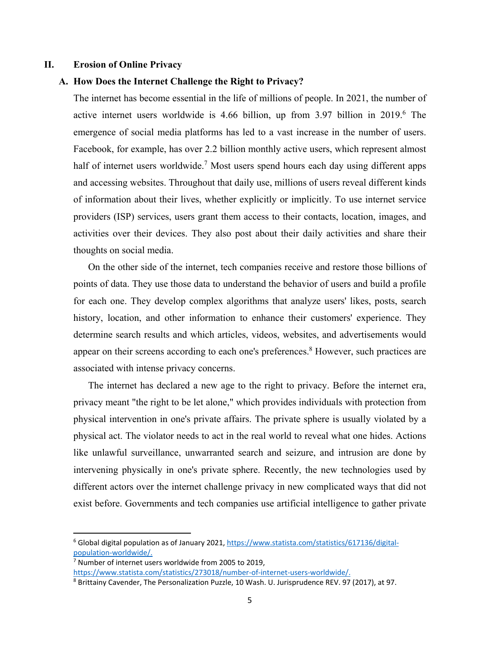#### **II. Erosion of Online Privacy**

#### **A. How Does the Internet Challenge the Right to Privacy?**

The internet has become essential in the life of millions of people. In 2021, the number of active internet users worldwide is 4.66 billion, up from 3.97 billion in 2019.<sup>6</sup> The emergence of social media platforms has led to a vast increase in the number of users. Facebook, for example, has over 2.2 billion monthly active users, which represent almost half of internet users worldwide.<sup>7</sup> Most users spend hours each day using different apps and accessing websites. Throughout that daily use, millions of users reveal different kinds of information about their lives, whether explicitly or implicitly. To use internet service providers (ISP) services, users grant them access to their contacts, location, images, and activities over their devices. They also post about their daily activities and share their thoughts on social media.

On the other side of the internet, tech companies receive and restore those billions of points of data. They use those data to understand the behavior of users and build a profile for each one. They develop complex algorithms that analyze users' likes, posts, search history, location, and other information to enhance their customers' experience. They determine search results and which articles, videos, websites, and advertisements would appear on their screens according to each one's preferences.<sup>8</sup> However, such practices are associated with intense privacy concerns.

The internet has declared a new age to the right to privacy. Before the internet era, privacy meant "the right to be let alone," which provides individuals with protection from physical intervention in one's private affairs. The private sphere is usually violated by a physical act. The violator needs to act in the real world to reveal what one hides. Actions like unlawful surveillance, unwarranted search and seizure, and intrusion are done by intervening physically in one's private sphere. Recently, the new technologies used by different actors over the internet challenge privacy in new complicated ways that did not exist before. Governments and tech companies use artificial intelligence to gather private

<sup>&</sup>lt;sup>6</sup> Global digital population as of January 2021, https://www.statista.com/statistics/617136/digitalpopulation‐worldwide/.

<sup>&</sup>lt;sup>7</sup> Number of internet users worldwide from 2005 to 2019, https://www.statista.com/statistics/273018/number-of-internet-users-worldwide/.

<sup>&</sup>lt;sup>8</sup> Brittainy Cavender, The Personalization Puzzle, 10 Wash. U. Jurisprudence REV. 97 (2017), at 97.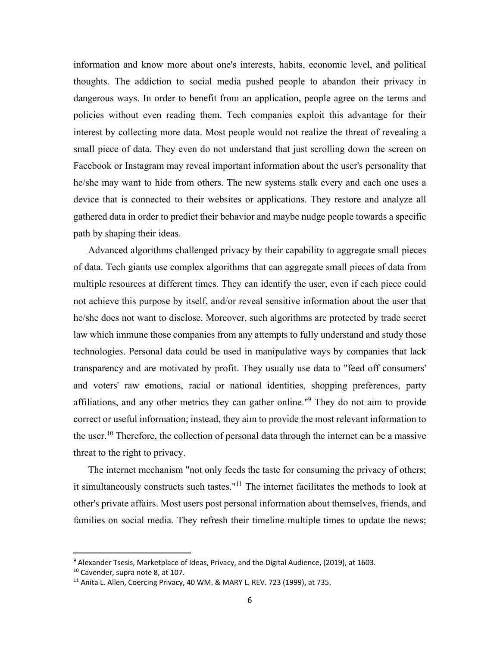information and know more about one's interests, habits, economic level, and political thoughts. The addiction to social media pushed people to abandon their privacy in dangerous ways. In order to benefit from an application, people agree on the terms and policies without even reading them. Tech companies exploit this advantage for their interest by collecting more data. Most people would not realize the threat of revealing a small piece of data. They even do not understand that just scrolling down the screen on Facebook or Instagram may reveal important information about the user's personality that he/she may want to hide from others. The new systems stalk every and each one uses a device that is connected to their websites or applications. They restore and analyze all gathered data in order to predict their behavior and maybe nudge people towards a specific path by shaping their ideas.

Advanced algorithms challenged privacy by their capability to aggregate small pieces of data. Tech giants use complex algorithms that can aggregate small pieces of data from multiple resources at different times. They can identify the user, even if each piece could not achieve this purpose by itself, and/or reveal sensitive information about the user that he/she does not want to disclose. Moreover, such algorithms are protected by trade secret law which immune those companies from any attempts to fully understand and study those technologies. Personal data could be used in manipulative ways by companies that lack transparency and are motivated by profit. They usually use data to "feed off consumers' and voters' raw emotions, racial or national identities, shopping preferences, party affiliations, and any other metrics they can gather online."<sup>9</sup> They do not aim to provide correct or useful information; instead, they aim to provide the most relevant information to the user.<sup>10</sup> Therefore, the collection of personal data through the internet can be a massive threat to the right to privacy.

The internet mechanism "not only feeds the taste for consuming the privacy of others; it simultaneously constructs such tastes."11 The internet facilitates the methods to look at other's private affairs. Most users post personal information about themselves, friends, and families on social media. They refresh their timeline multiple times to update the news;

<sup>&</sup>lt;sup>9</sup> Alexander Tsesis, Marketplace of Ideas, Privacy, and the Digital Audience, (2019), at 1603.

<sup>10</sup> Cavender, supra note 8, at 107.

<sup>&</sup>lt;sup>11</sup> Anita L. Allen, Coercing Privacy, 40 WM. & MARY L. REV. 723 (1999), at 735.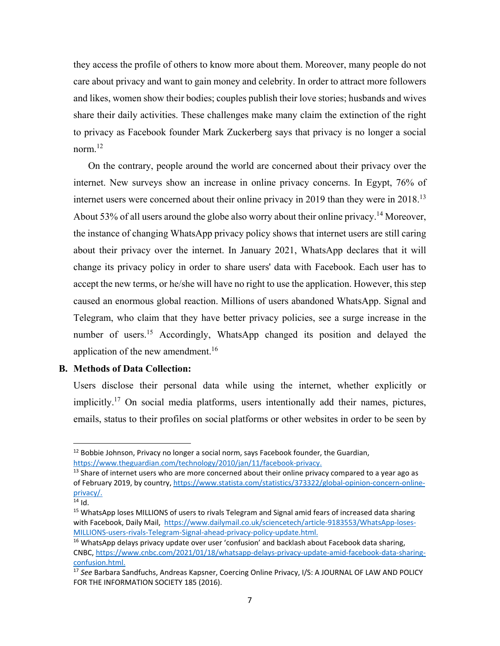they access the profile of others to know more about them. Moreover, many people do not care about privacy and want to gain money and celebrity. In order to attract more followers and likes, women show their bodies; couples publish their love stories; husbands and wives share their daily activities. These challenges make many claim the extinction of the right to privacy as Facebook founder Mark Zuckerberg says that privacy is no longer a social norm.<sup>12</sup>

On the contrary, people around the world are concerned about their privacy over the internet. New surveys show an increase in online privacy concerns. In Egypt, 76% of internet users were concerned about their online privacy in 2019 than they were in 2018.13 About 53% of all users around the globe also worry about their online privacy.<sup>14</sup> Moreover, the instance of changing WhatsApp privacy policy shows that internet users are still caring about their privacy over the internet. In January 2021, WhatsApp declares that it will change its privacy policy in order to share users' data with Facebook. Each user has to accept the new terms, or he/she will have no right to use the application. However, this step caused an enormous global reaction. Millions of users abandoned WhatsApp. Signal and Telegram, who claim that they have better privacy policies, see a surge increase in the number of users.<sup>15</sup> Accordingly, WhatsApp changed its position and delayed the application of the new amendment.<sup>16</sup>

#### **B. Methods of Data Collection:**

Users disclose their personal data while using the internet, whether explicitly or implicitly.<sup>17</sup> On social media platforms, users intentionally add their names, pictures, emails, status to their profiles on social platforms or other websites in order to be seen by

 $12$  Bobbie Johnson, Privacy no longer a social norm, says Facebook founder, the Guardian, https://www.theguardian.com/technology/2010/jan/11/facebook‐privacy.

 $<sup>13</sup>$  Share of internet users who are more concerned about their online privacy compared to a year ago as</sup> of February 2019, by country, https://www.statista.com/statistics/373322/global-opinion-concern-onlineprivacy/.

 $14$  Id.

<sup>&</sup>lt;sup>15</sup> WhatsApp loses MILLIONS of users to rivals Telegram and Signal amid fears of increased data sharing with Facebook, Daily Mail, https://www.dailymail.co.uk/sciencetech/article-9183553/WhatsApp-loses-MILLIONS‐users‐rivals‐Telegram‐Signal‐ahead‐privacy‐policy‐update.html.

 $16$  WhatsApp delays privacy update over user 'confusion' and backlash about Facebook data sharing, CNBC, https://www.cnbc.com/2021/01/18/whatsapp‐delays‐privacy‐update‐amid‐facebook‐data‐sharing‐ confusion.html.

<sup>17</sup> *See* Barbara Sandfuchs, Andreas Kapsner, Coercing Online Privacy, I/S: A JOURNAL OF LAW AND POLICY FOR THE INFORMATION SOCIETY 185 (2016).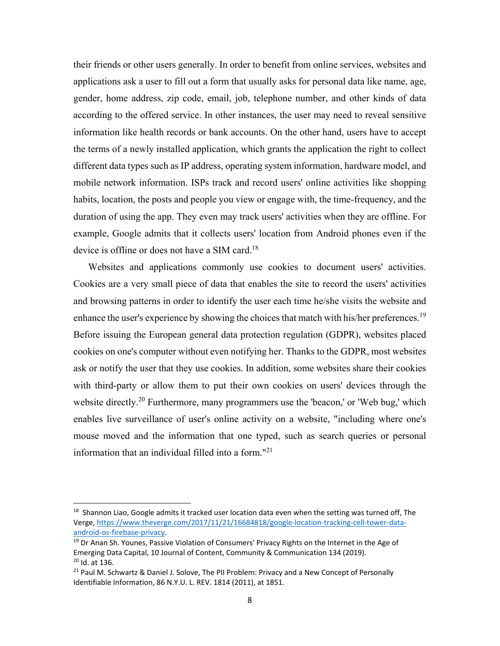their friends or other users generally. In order to benefit from online services, websites and applications ask a user to fill out a form that usually asks for personal data like name, age, gender, home address, zip code, email, job, telephone number, and other kinds of data according to the offered service. In other instances, the user may need to reveal sensitive information like health records or bank accounts. On the other hand, users have to accept the terms of a newly installed application, which grants the application the right to collect different data types such as IP address, operating system information, hardware model, and mobile network information. ISPs track and record users' online activities like shopping habits, location, the posts and people you view or engage with, the time-frequency, and the duration of using the app. They even may track users' activities when they are offline. For example, Google admits that it collects users' location from Android phones even if the device is offline or does not have a SIM card.<sup>18</sup>

Websites and applications commonly use cookies to document users' activities. Cookies are a very small piece of data that enables the site to record the users' activities and browsing patterns in order to identify the user each time he/she visits the website and enhance the user's experience by showing the choices that match with his/her preferences.<sup>19</sup> Before issuing the European general data protection regulation (GDPR), websites placed cookies on one's computer without even notifying her. Thanks to the GDPR, most websites ask or notify the user that they use cookies. In addition, some websites share their cookies with third-party or allow them to put their own cookies on users' devices through the website directly.<sup>20</sup> Furthermore, many programmers use the 'beacon,' or 'Web bug,' which enables live surveillance of user's online activity on a website, "including where one's mouse moved and the information that one typed, such as search queries or personal information that an individual filled into a form."<sup>21</sup>

 $18$  Shannon Liao, Google admits it tracked user location data even when the setting was turned off, The Verge, https://www.theverge.com/2017/11/21/16684818/google-location-tracking-cell-tower-dataandroid‐os‐firebase‐privacy.

<sup>&</sup>lt;sup>19</sup> Dr Anan Sh. Younes, Passive Violation of Consumers' Privacy Rights on the Internet in the Age of Emerging Data Capital, 10 Journal of Content, Community & Communication 134 (2019).  $20$  Id. at 136.

<sup>&</sup>lt;sup>21</sup> Paul M. Schwartz & Daniel J. Solove, The PII Problem: Privacy and a New Concept of Personally Identifiable Information, 86 N.Y.U. L. REV. 1814 (2011), at 1851.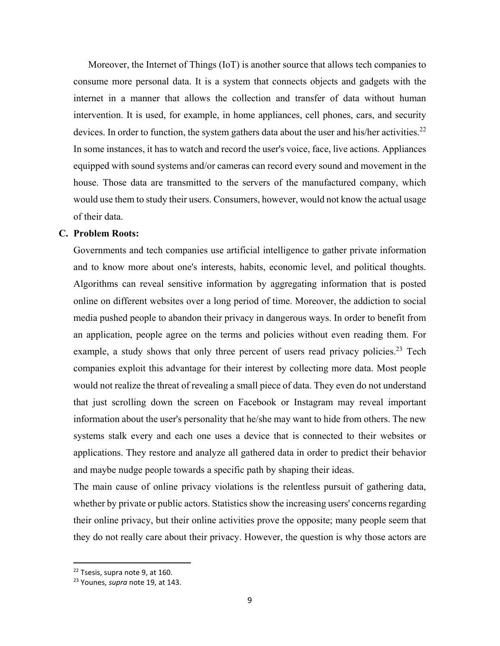Moreover, the Internet of Things (IoT) is another source that allows tech companies to consume more personal data. It is a system that connects objects and gadgets with the internet in a manner that allows the collection and transfer of data without human intervention. It is used, for example, in home appliances, cell phones, cars, and security devices. In order to function, the system gathers data about the user and his/her activities.<sup>22</sup> In some instances, it has to watch and record the user's voice, face, live actions. Appliances equipped with sound systems and/or cameras can record every sound and movement in the house. Those data are transmitted to the servers of the manufactured company, which would use them to study their users. Consumers, however, would not know the actual usage of their data.

#### **C. Problem Roots:**

Governments and tech companies use artificial intelligence to gather private information and to know more about one's interests, habits, economic level, and political thoughts. Algorithms can reveal sensitive information by aggregating information that is posted online on different websites over a long period of time. Moreover, the addiction to social media pushed people to abandon their privacy in dangerous ways. In order to benefit from an application, people agree on the terms and policies without even reading them. For example, a study shows that only three percent of users read privacy policies.<sup>23</sup> Tech companies exploit this advantage for their interest by collecting more data. Most people would not realize the threat of revealing a small piece of data. They even do not understand that just scrolling down the screen on Facebook or Instagram may reveal important information about the user's personality that he/she may want to hide from others. The new systems stalk every and each one uses a device that is connected to their websites or applications. They restore and analyze all gathered data in order to predict their behavior and maybe nudge people towards a specific path by shaping their ideas.

The main cause of online privacy violations is the relentless pursuit of gathering data, whether by private or public actors. Statistics show the increasing users' concerns regarding their online privacy, but their online activities prove the opposite; many people seem that they do not really care about their privacy. However, the question is why those actors are

<sup>&</sup>lt;sup>22</sup> Tsesis, supra note 9, at 160.

<sup>23</sup> Younes, *supra* note 19, at 143.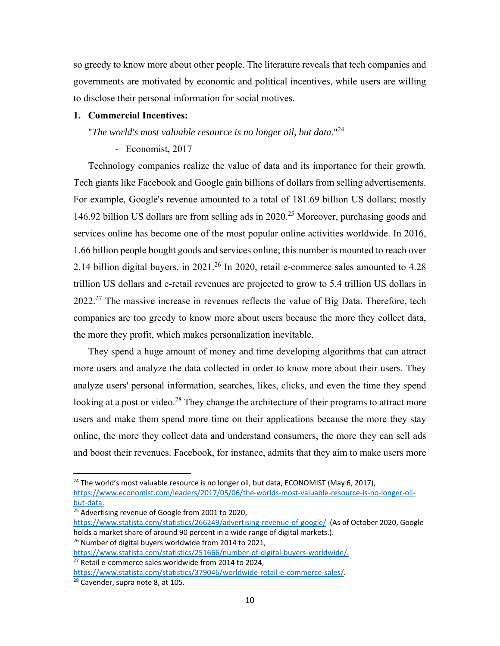so greedy to know more about other people. The literature reveals that tech companies and governments are motivated by economic and political incentives, while users are willing to disclose their personal information for social motives.

#### **1. Commercial Incentives:**

"*The world's most valuable resource is no longer oil, but data*."24

#### - Economist, 2017

Technology companies realize the value of data and its importance for their growth. Tech giants like Facebook and Google gain billions of dollars from selling advertisements. For example, Google's revenue amounted to a total of 181.69 billion US dollars; mostly 146.92 billion US dollars are from selling ads in  $2020$ <sup>25</sup> Moreover, purchasing goods and services online has become one of the most popular online activities worldwide. In 2016, 1.66 billion people bought goods and services online; this number is mounted to reach over 2.14 billion digital buyers, in 2021.<sup>26</sup> In 2020, retail e-commerce sales amounted to 4.28 trillion US dollars and e-retail revenues are projected to grow to 5.4 trillion US dollars in  $2022.^{27}$  The massive increase in revenues reflects the value of Big Data. Therefore, tech companies are too greedy to know more about users because the more they collect data, the more they profit, which makes personalization inevitable.

They spend a huge amount of money and time developing algorithms that can attract more users and analyze the data collected in order to know more about their users. They analyze users' personal information, searches, likes, clicks, and even the time they spend looking at a post or video.<sup>28</sup> They change the architecture of their programs to attract more users and make them spend more time on their applications because the more they stay online, the more they collect data and understand consumers, the more they can sell ads and boost their revenues. Facebook, for instance, admits that they aim to make users more

<sup>25</sup> Advertising revenue of Google from 2001 to 2020,

 $26$  Number of digital buyers worldwide from 2014 to 2021,

<sup>&</sup>lt;sup>24</sup> The world's most valuable resource is no longer oil, but data, ECONOMIST (May 6, 2017), https://www.economist.com/leaders/2017/05/06/the‐worlds‐most‐valuable‐resource‐is‐no‐longer‐oil‐ but‐data.

https://www.statista.com/statistics/266249/advertising-revenue-of-google/ (As of October 2020, Google holds a market share of around 90 percent in a wide range of digital markets.).

https://www.statista.com/statistics/251666/number-of-digital-buyers-worldwide/. <sup>27</sup> Retail e-commerce sales worldwide from 2014 to 2024,

https://www.statista.com/statistics/379046/worldwide-retail-e-commerce-sales/. 28 Cavender, supra note 8, at 105.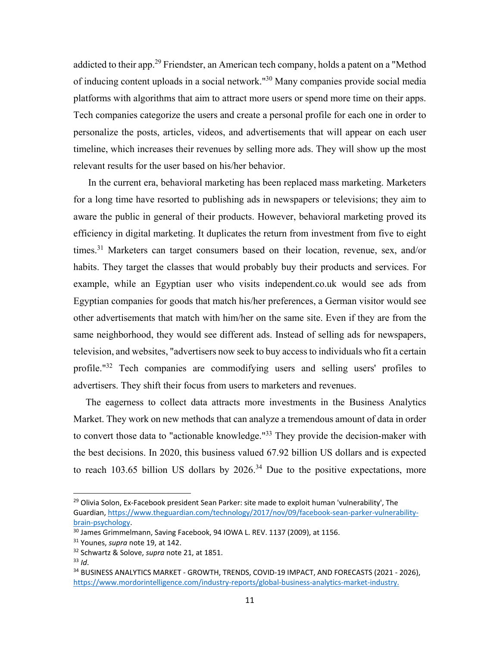addicted to their app.<sup>29</sup> Friendster, an American tech company, holds a patent on a "Method of inducing content uploads in a social network."30 Many companies provide social media platforms with algorithms that aim to attract more users or spend more time on their apps. Tech companies categorize the users and create a personal profile for each one in order to personalize the posts, articles, videos, and advertisements that will appear on each user timeline, which increases their revenues by selling more ads. They will show up the most relevant results for the user based on his/her behavior.

In the current era, behavioral marketing has been replaced mass marketing. Marketers for a long time have resorted to publishing ads in newspapers or televisions; they aim to aware the public in general of their products. However, behavioral marketing proved its efficiency in digital marketing. It duplicates the return from investment from five to eight times.<sup>31</sup> Marketers can target consumers based on their location, revenue, sex, and/or habits. They target the classes that would probably buy their products and services. For example, while an Egyptian user who visits independent.co.uk would see ads from Egyptian companies for goods that match his/her preferences, a German visitor would see other advertisements that match with him/her on the same site. Even if they are from the same neighborhood, they would see different ads. Instead of selling ads for newspapers, television, and websites, "advertisers now seek to buy access to individuals who fit a certain profile."32 Tech companies are commodifying users and selling users' profiles to advertisers. They shift their focus from users to marketers and revenues.

 The eagerness to collect data attracts more investments in the Business Analytics Market. They work on new methods that can analyze a tremendous amount of data in order to convert those data to "actionable knowledge."<sup>33</sup> They provide the decision-maker with the best decisions. In 2020, this business valued 67.92 billion US dollars and is expected to reach 103.65 billion US dollars by  $2026<sup>34</sup>$  Due to the positive expectations, more

<sup>&</sup>lt;sup>29</sup> Olivia Solon, Ex-Facebook president Sean Parker: site made to exploit human 'vulnerability', The Guardian, https://www.theguardian.com/technology/2017/nov/09/facebook‐sean‐parker‐vulnerability‐ brain‐psychology.

<sup>&</sup>lt;sup>30</sup> James Grimmelmann, Saving Facebook, 94 IOWA L. REV. 1137 (2009), at 1156.

<sup>31</sup> Younes, *supra* note 19, at 142.

<sup>32</sup> Schwartz & Solove, *supra* note 21, at 1851.

<sup>33</sup> *Id*.

<sup>34</sup> BUSINESS ANALYTICS MARKET - GROWTH, TRENDS, COVID-19 IMPACT, AND FORECASTS (2021 - 2026), https://www.mordorintelligence.com/industry-reports/global-business-analytics-market-industry.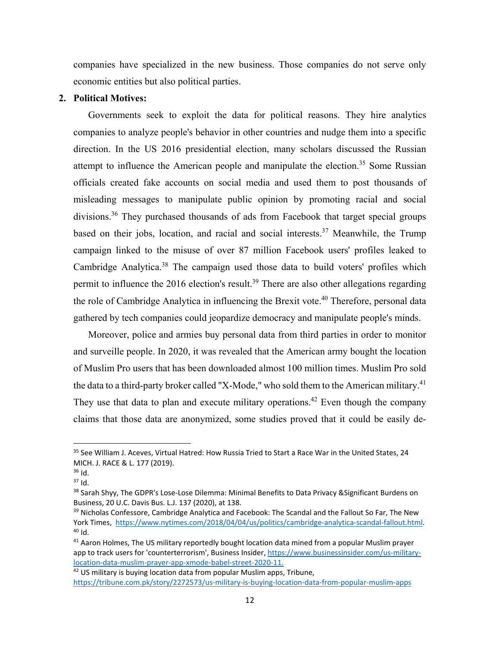companies have specialized in the new business. Those companies do not serve only economic entities but also political parties.

#### **2. Political Motives:**

Governments seek to exploit the data for political reasons. They hire analytics companies to analyze people's behavior in other countries and nudge them into a specific direction. In the US 2016 presidential election, many scholars discussed the Russian attempt to influence the American people and manipulate the election.<sup>35</sup> Some Russian officials created fake accounts on social media and used them to post thousands of misleading messages to manipulate public opinion by promoting racial and social divisions.36 They purchased thousands of ads from Facebook that target special groups based on their jobs, location, and racial and social interests.<sup>37</sup> Meanwhile, the Trump campaign linked to the misuse of over 87 million Facebook users' profiles leaked to Cambridge Analytica.<sup>38</sup> The campaign used those data to build voters' profiles which permit to influence the 2016 election's result.<sup>39</sup> There are also other allegations regarding the role of Cambridge Analytica in influencing the Brexit vote.<sup>40</sup> Therefore, personal data gathered by tech companies could jeopardize democracy and manipulate people's minds.

Moreover, police and armies buy personal data from third parties in order to monitor and surveille people. In 2020, it was revealed that the American army bought the location of Muslim Pro users that has been downloaded almost 100 million times. Muslim Pro sold the data to a third-party broker called "X-Mode," who sold them to the American military.<sup>41</sup> They use that data to plan and execute military operations.<sup>42</sup> Even though the company claims that those data are anonymized, some studies proved that it could be easily de-

<sup>&</sup>lt;sup>35</sup> See William J. Aceves, Virtual Hatred: How Russia Tried to Start a Race War in the United States, 24 MICH. J. RACE & L. 177 (2019).

 $36$  Id.

 $37$  Id.

<sup>38</sup> Sarah Shyy, The GDPR's Lose-Lose Dilemma: Minimal Benefits to Data Privacy & Significant Burdens on Business, 20 U.C. Davis Bus. L.J. 137 (2020), at 138.

<sup>&</sup>lt;sup>39</sup> Nicholas Confessore, Cambridge Analytica and Facebook: The Scandal and the Fallout So Far, The New York Times, https://www.nytimes.com/2018/04/04/us/politics/cambridge-analytica-scandal-fallout.html.  $40$  Id.

<sup>&</sup>lt;sup>41</sup> Aaron Holmes, The US military reportedly bought location data mined from a popular Muslim prayer app to track users for 'counterterrorism', Business Insider, https://www.businessinsider.com/us-militarylocation‐data‐muslim‐prayer‐app‐xmode‐babel‐street‐2020‐11.

 $42$  US military is buying location data from popular Muslim apps, Tribune, https://tribune.com.pk/story/2272573/us‐military‐is‐buying‐location‐data‐from‐popular‐muslim‐apps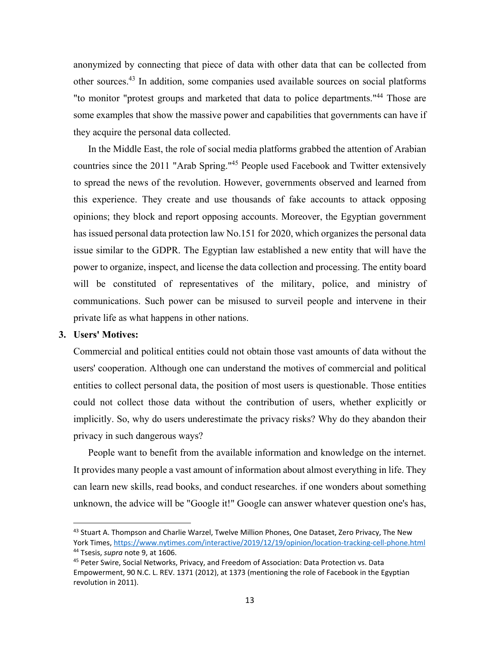anonymized by connecting that piece of data with other data that can be collected from other sources.43 In addition, some companies used available sources on social platforms "to monitor "protest groups and marketed that data to police departments."<sup>44</sup> Those are some examples that show the massive power and capabilities that governments can have if they acquire the personal data collected.

In the Middle East, the role of social media platforms grabbed the attention of Arabian countries since the 2011 "Arab Spring."45 People used Facebook and Twitter extensively to spread the news of the revolution. However, governments observed and learned from this experience. They create and use thousands of fake accounts to attack opposing opinions; they block and report opposing accounts. Moreover, the Egyptian government has issued personal data protection law No.151 for 2020, which organizes the personal data issue similar to the GDPR. The Egyptian law established a new entity that will have the power to organize, inspect, and license the data collection and processing. The entity board will be constituted of representatives of the military, police, and ministry of communications. Such power can be misused to surveil people and intervene in their private life as what happens in other nations.

#### **3. Users' Motives:**

Commercial and political entities could not obtain those vast amounts of data without the users' cooperation. Although one can understand the motives of commercial and political entities to collect personal data, the position of most users is questionable. Those entities could not collect those data without the contribution of users, whether explicitly or implicitly. So, why do users underestimate the privacy risks? Why do they abandon their privacy in such dangerous ways?

People want to benefit from the available information and knowledge on the internet. It provides many people a vast amount of information about almost everything in life. They can learn new skills, read books, and conduct researches. if one wonders about something unknown, the advice will be "Google it!" Google can answer whatever question one's has,

<sup>&</sup>lt;sup>43</sup> Stuart A. Thompson and Charlie Warzel, Twelve Million Phones, One Dataset, Zero Privacy, The New York Times, https://www.nytimes.com/interactive/2019/12/19/opinion/location‐tracking‐cell‐phone.html 44 Tsesis, *supra* note 9, at 1606.

<sup>&</sup>lt;sup>45</sup> Peter Swire, Social Networks, Privacy, and Freedom of Association: Data Protection vs. Data Empowerment, 90 N.C. L. REV. 1371 (2012), at 1373 (mentioning the role of Facebook in the Egyptian revolution in 2011).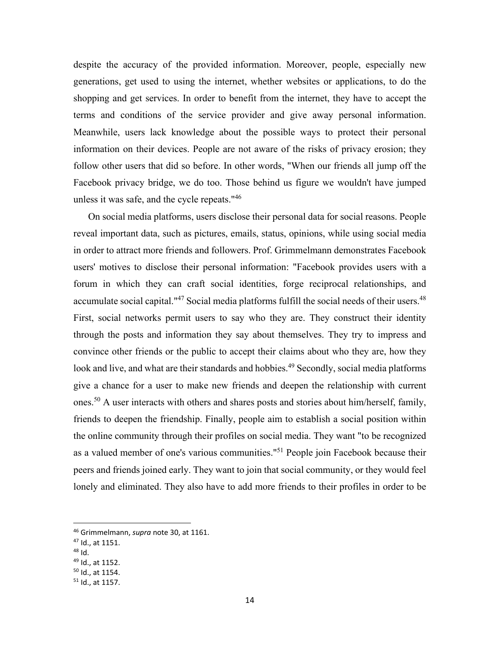despite the accuracy of the provided information. Moreover, people, especially new generations, get used to using the internet, whether websites or applications, to do the shopping and get services. In order to benefit from the internet, they have to accept the terms and conditions of the service provider and give away personal information. Meanwhile, users lack knowledge about the possible ways to protect their personal information on their devices. People are not aware of the risks of privacy erosion; they follow other users that did so before. In other words, "When our friends all jump off the Facebook privacy bridge, we do too. Those behind us figure we wouldn't have jumped unless it was safe, and the cycle repeats."46

On social media platforms, users disclose their personal data for social reasons. People reveal important data, such as pictures, emails, status, opinions, while using social media in order to attract more friends and followers. Prof. Grimmelmann demonstrates Facebook users' motives to disclose their personal information: "Facebook provides users with a forum in which they can craft social identities, forge reciprocal relationships, and accumulate social capital."<sup>47</sup> Social media platforms fulfill the social needs of their users.<sup>48</sup> First, social networks permit users to say who they are. They construct their identity through the posts and information they say about themselves. They try to impress and convince other friends or the public to accept their claims about who they are, how they look and live, and what are their standards and hobbies.<sup>49</sup> Secondly, social media platforms give a chance for a user to make new friends and deepen the relationship with current ones.50 A user interacts with others and shares posts and stories about him/herself, family, friends to deepen the friendship. Finally, people aim to establish a social position within the online community through their profiles on social media. They want "to be recognized as a valued member of one's various communities."51 People join Facebook because their peers and friends joined early. They want to join that social community, or they would feel lonely and eliminated. They also have to add more friends to their profiles in order to be

48 Id.

<sup>46</sup> Grimmelmann, *supra* note 30, at 1161.

<sup>47</sup> Id., at 1151.

<sup>49</sup> Id., at 1152.

<sup>50</sup> Id., at 1154.

<sup>51</sup> Id., at 1157.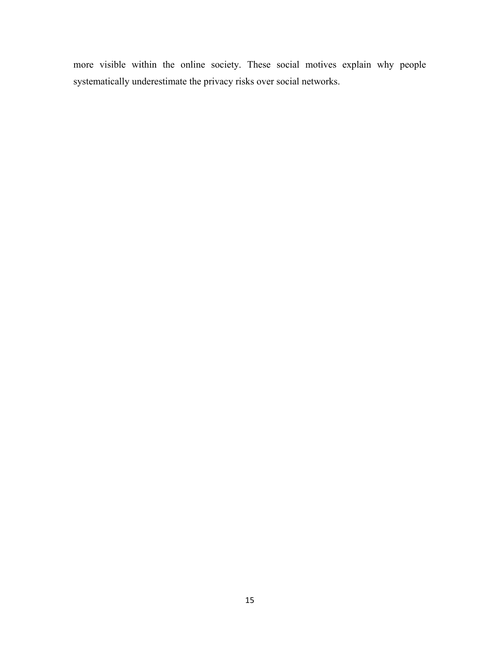more visible within the online society. These social motives explain why people systematically underestimate the privacy risks over social networks.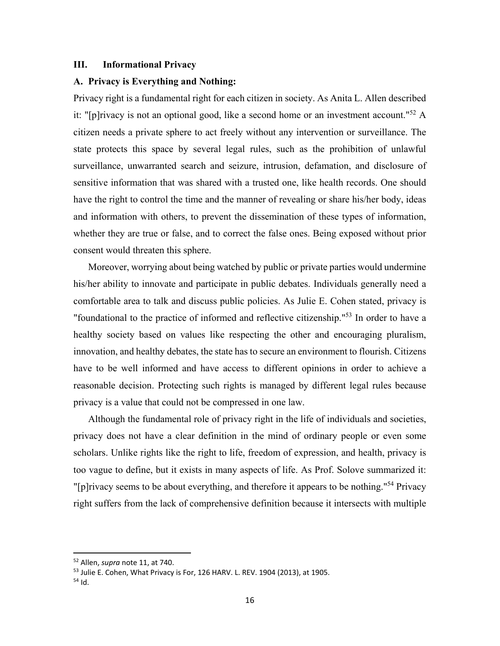#### **III. Informational Privacy**

#### **A. Privacy is Everything and Nothing:**

Privacy right is a fundamental right for each citizen in society. As Anita L. Allen described it: "[p]rivacy is not an optional good, like a second home or an investment account."<sup>52</sup> A citizen needs a private sphere to act freely without any intervention or surveillance. The state protects this space by several legal rules, such as the prohibition of unlawful surveillance, unwarranted search and seizure, intrusion, defamation, and disclosure of sensitive information that was shared with a trusted one, like health records. One should have the right to control the time and the manner of revealing or share his/her body, ideas and information with others, to prevent the dissemination of these types of information, whether they are true or false, and to correct the false ones. Being exposed without prior consent would threaten this sphere.

Moreover, worrying about being watched by public or private parties would undermine his/her ability to innovate and participate in public debates. Individuals generally need a comfortable area to talk and discuss public policies. As Julie E. Cohen stated, privacy is "foundational to the practice of informed and reflective citizenship."<sup>53</sup> In order to have a healthy society based on values like respecting the other and encouraging pluralism, innovation, and healthy debates, the state has to secure an environment to flourish. Citizens have to be well informed and have access to different opinions in order to achieve a reasonable decision. Protecting such rights is managed by different legal rules because privacy is a value that could not be compressed in one law.

Although the fundamental role of privacy right in the life of individuals and societies, privacy does not have a clear definition in the mind of ordinary people or even some scholars. Unlike rights like the right to life, freedom of expression, and health, privacy is too vague to define, but it exists in many aspects of life. As Prof. Solove summarized it: "[p]rivacy seems to be about everything, and therefore it appears to be nothing."<sup>54</sup> Privacy" right suffers from the lack of comprehensive definition because it intersects with multiple

<sup>52</sup> Allen, *supra* note 11, at 740.

<sup>&</sup>lt;sup>53</sup> Julie E. Cohen, What Privacy is For, 126 HARV. L. REV. 1904 (2013), at 1905.

 $54$  Id.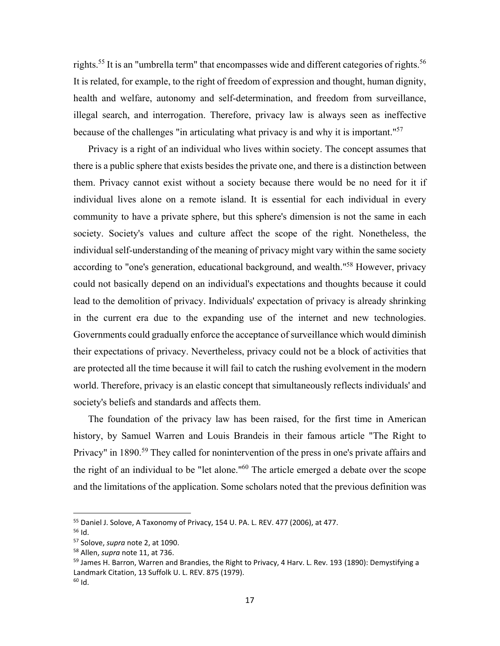rights.<sup>55</sup> It is an "umbrella term" that encompasses wide and different categories of rights.<sup>56</sup> It is related, for example, to the right of freedom of expression and thought, human dignity, health and welfare, autonomy and self-determination, and freedom from surveillance, illegal search, and interrogation. Therefore, privacy law is always seen as ineffective because of the challenges "in articulating what privacy is and why it is important."57

Privacy is a right of an individual who lives within society. The concept assumes that there is a public sphere that exists besides the private one, and there is a distinction between them. Privacy cannot exist without a society because there would be no need for it if individual lives alone on a remote island. It is essential for each individual in every community to have a private sphere, but this sphere's dimension is not the same in each society. Society's values and culture affect the scope of the right. Nonetheless, the individual self-understanding of the meaning of privacy might vary within the same society according to "one's generation, educational background, and wealth."<sup>58</sup> However, privacy could not basically depend on an individual's expectations and thoughts because it could lead to the demolition of privacy. Individuals' expectation of privacy is already shrinking in the current era due to the expanding use of the internet and new technologies. Governments could gradually enforce the acceptance of surveillance which would diminish their expectations of privacy. Nevertheless, privacy could not be a block of activities that are protected all the time because it will fail to catch the rushing evolvement in the modern world. Therefore, privacy is an elastic concept that simultaneously reflects individuals' and society's beliefs and standards and affects them.

The foundation of the privacy law has been raised, for the first time in American history, by Samuel Warren and Louis Brandeis in their famous article "The Right to Privacy" in 1890.<sup>59</sup> They called for nonintervention of the press in one's private affairs and the right of an individual to be "let alone."60 The article emerged a debate over the scope and the limitations of the application. Some scholars noted that the previous definition was

<sup>&</sup>lt;sup>55</sup> Daniel J. Solove, A Taxonomy of Privacy, 154 U. PA. L. REV. 477 (2006), at 477.

<sup>56</sup> Id.

<sup>57</sup> Solove, *supra* note 2, at 1090.

<sup>58</sup> Allen, *supra* note 11, at 736.

<sup>&</sup>lt;sup>59</sup> James H. Barron, Warren and Brandies, the Right to Privacy, 4 Harv. L. Rev. 193 (1890): Demystifying a Landmark Citation, 13 Suffolk U. L. REV. 875 (1979). 60 Id.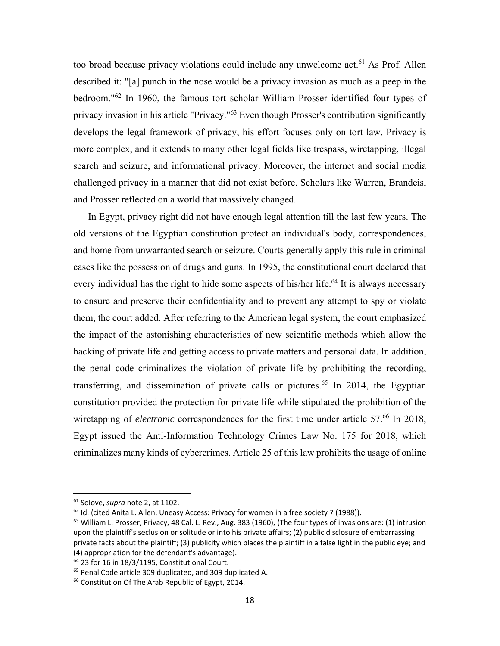too broad because privacy violations could include any unwelcome act.<sup>61</sup> As Prof. Allen described it: "[a] punch in the nose would be a privacy invasion as much as a peep in the bedroom."62 In 1960, the famous tort scholar William Prosser identified four types of privacy invasion in his article "Privacy."<sup>63</sup> Even though Prosser's contribution significantly develops the legal framework of privacy, his effort focuses only on tort law. Privacy is more complex, and it extends to many other legal fields like trespass, wiretapping, illegal search and seizure, and informational privacy. Moreover, the internet and social media challenged privacy in a manner that did not exist before. Scholars like Warren, Brandeis, and Prosser reflected on a world that massively changed.

In Egypt, privacy right did not have enough legal attention till the last few years. The old versions of the Egyptian constitution protect an individual's body, correspondences, and home from unwarranted search or seizure. Courts generally apply this rule in criminal cases like the possession of drugs and guns. In 1995, the constitutional court declared that every individual has the right to hide some aspects of his/her life.<sup>64</sup> It is always necessary to ensure and preserve their confidentiality and to prevent any attempt to spy or violate them, the court added. After referring to the American legal system, the court emphasized the impact of the astonishing characteristics of new scientific methods which allow the hacking of private life and getting access to private matters and personal data. In addition, the penal code criminalizes the violation of private life by prohibiting the recording, transferring, and dissemination of private calls or pictures.<sup>65</sup> In 2014, the Egyptian constitution provided the protection for private life while stipulated the prohibition of the wiretapping of *electronic* correspondences for the first time under article 57.<sup>66</sup> In 2018, Egypt issued the Anti-Information Technology Crimes Law No. 175 for 2018, which criminalizes many kinds of cybercrimes. Article 25 of this law prohibits the usage of online

<sup>61</sup> Solove, *supra* note 2, at 1102.

 $62$  Id. (cited Anita L. Allen, Uneasy Access: Privacy for women in a free society 7 (1988)).

 $63$  William L. Prosser, Privacy, 48 Cal. L. Rev., Aug. 383 (1960), (The four types of invasions are: (1) intrusion upon the plaintiff's seclusion or solitude or into his private affairs; (2) public disclosure of embarrassing private facts about the plaintiff; (3) publicity which places the plaintiff in a false light in the public eye; and (4) appropriation for the defendant's advantage).

 $64$  23 for 16 in 18/3/1195. Constitutional Court.

<sup>65</sup> Penal Code article 309 duplicated, and 309 duplicated A.

<sup>&</sup>lt;sup>66</sup> Constitution Of The Arab Republic of Egypt, 2014.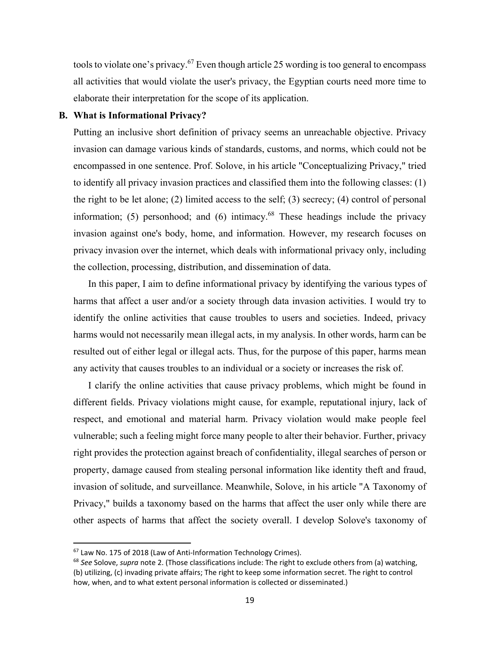tools to violate one's privacy.<sup>67</sup> Even though article 25 wording is too general to encompass all activities that would violate the user's privacy, the Egyptian courts need more time to elaborate their interpretation for the scope of its application.

#### **B. What is Informational Privacy?**

Putting an inclusive short definition of privacy seems an unreachable objective. Privacy invasion can damage various kinds of standards, customs, and norms, which could not be encompassed in one sentence. Prof. Solove, in his article "Conceptualizing Privacy," tried to identify all privacy invasion practices and classified them into the following classes: (1) the right to be let alone; (2) limited access to the self; (3) secrecy; (4) control of personal information; (5) personhood; and (6) intimacy. $68$  These headings include the privacy invasion against one's body, home, and information. However, my research focuses on privacy invasion over the internet, which deals with informational privacy only, including the collection, processing, distribution, and dissemination of data.

In this paper, I aim to define informational privacy by identifying the various types of harms that affect a user and/or a society through data invasion activities. I would try to identify the online activities that cause troubles to users and societies. Indeed, privacy harms would not necessarily mean illegal acts, in my analysis. In other words, harm can be resulted out of either legal or illegal acts. Thus, for the purpose of this paper, harms mean any activity that causes troubles to an individual or a society or increases the risk of.

I clarify the online activities that cause privacy problems, which might be found in different fields. Privacy violations might cause, for example, reputational injury, lack of respect, and emotional and material harm. Privacy violation would make people feel vulnerable; such a feeling might force many people to alter their behavior. Further, privacy right provides the protection against breach of confidentiality, illegal searches of person or property, damage caused from stealing personal information like identity theft and fraud, invasion of solitude, and surveillance. Meanwhile, Solove, in his article "A Taxonomy of Privacy," builds a taxonomy based on the harms that affect the user only while there are other aspects of harms that affect the society overall. I develop Solove's taxonomy of

<sup>&</sup>lt;sup>67</sup> Law No. 175 of 2018 (Law of Anti-Information Technology Crimes).

<sup>68</sup> *See* Solove, *supra* note 2. (Those classifications include: The right to exclude others from (a) watching, (b) utilizing, (c) invading private affairs; The right to keep some information secret. The right to control how, when, and to what extent personal information is collected or disseminated.)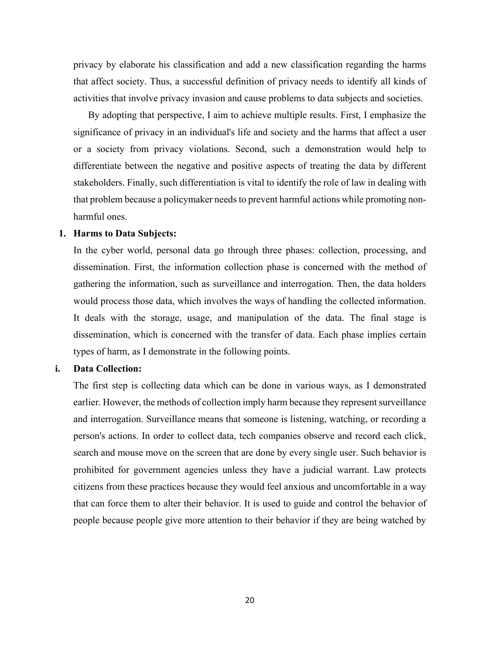privacy by elaborate his classification and add a new classification regarding the harms that affect society. Thus, a successful definition of privacy needs to identify all kinds of activities that involve privacy invasion and cause problems to data subjects and societies.

By adopting that perspective, I aim to achieve multiple results. First, I emphasize the significance of privacy in an individual's life and society and the harms that affect a user or a society from privacy violations. Second, such a demonstration would help to differentiate between the negative and positive aspects of treating the data by different stakeholders. Finally, such differentiation is vital to identify the role of law in dealing with that problem because a policymaker needs to prevent harmful actions while promoting nonharmful ones.

#### **1. Harms to Data Subjects:**

In the cyber world, personal data go through three phases: collection, processing, and dissemination. First, the information collection phase is concerned with the method of gathering the information, such as surveillance and interrogation. Then, the data holders would process those data, which involves the ways of handling the collected information. It deals with the storage, usage, and manipulation of the data. The final stage is dissemination, which is concerned with the transfer of data. Each phase implies certain types of harm, as I demonstrate in the following points.

#### **i. Data Collection:**

The first step is collecting data which can be done in various ways, as I demonstrated earlier. However, the methods of collection imply harm because they represent surveillance and interrogation. Surveillance means that someone is listening, watching, or recording a person's actions. In order to collect data, tech companies observe and record each click, search and mouse move on the screen that are done by every single user. Such behavior is prohibited for government agencies unless they have a judicial warrant. Law protects citizens from these practices because they would feel anxious and uncomfortable in a way that can force them to alter their behavior. It is used to guide and control the behavior of people because people give more attention to their behavior if they are being watched by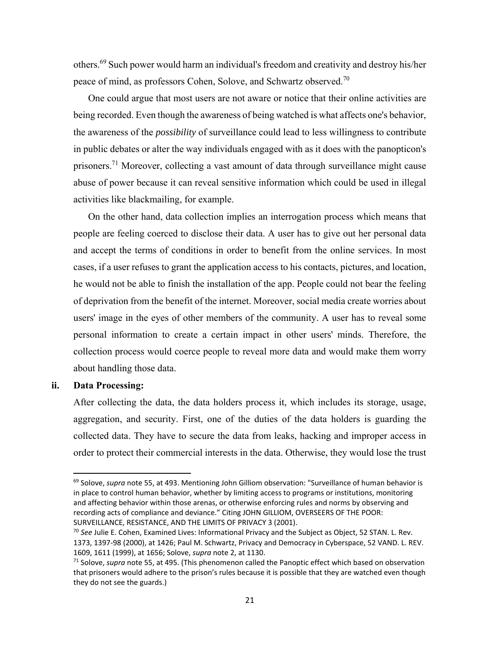others.69 Such power would harm an individual's freedom and creativity and destroy his/her peace of mind, as professors Cohen, Solove, and Schwartz observed.<sup>70</sup>

One could argue that most users are not aware or notice that their online activities are being recorded. Even though the awareness of being watched is what affects one's behavior, the awareness of the *possibility* of surveillance could lead to less willingness to contribute in public debates or alter the way individuals engaged with as it does with the panopticon's prisoners.<sup>71</sup> Moreover, collecting a vast amount of data through surveillance might cause abuse of power because it can reveal sensitive information which could be used in illegal activities like blackmailing, for example.

On the other hand, data collection implies an interrogation process which means that people are feeling coerced to disclose their data. A user has to give out her personal data and accept the terms of conditions in order to benefit from the online services. In most cases, if a user refuses to grant the application access to his contacts, pictures, and location, he would not be able to finish the installation of the app. People could not bear the feeling of deprivation from the benefit of the internet. Moreover, social media create worries about users' image in the eyes of other members of the community. A user has to reveal some personal information to create a certain impact in other users' minds. Therefore, the collection process would coerce people to reveal more data and would make them worry about handling those data.

#### **ii. Data Processing:**

After collecting the data, the data holders process it, which includes its storage, usage, aggregation, and security. First, one of the duties of the data holders is guarding the collected data. They have to secure the data from leaks, hacking and improper access in order to protect their commercial interests in the data. Otherwise, they would lose the trust

<sup>&</sup>lt;sup>69</sup> Solove, *supra* note 55, at 493. Mentioning John Gilliom observation: "Surveillance of human behavior is in place to control human behavior, whether by limiting access to programs or institutions, monitoring and affecting behavior within those arenas, or otherwise enforcing rules and norms by observing and recording acts of compliance and deviance." Citing JOHN GILLIOM, OVERSEERS OF THE POOR: SURVEILLANCE, RESISTANCE, AND THE LIMITS OF PRIVACY 3 (2001).

<sup>70</sup> *See* Julie E. Cohen, Examined Lives: Informational Privacy and the Subject as Object, 52 STAN. L. Rev. 1373, 1397‐98 (2000), at 1426; Paul M. Schwartz, Privacy and Democracy in Cyberspace, 52 VAND. L. REV. 1609, 1611 (1999), at 1656; Solove, *supra* note 2, at 1130.

<sup>71</sup> Solove, *supra* note 55, at 495. (This phenomenon called the Panoptic effect which based on observation that prisoners would adhere to the prison's rules because it is possible that they are watched even though they do not see the guards.)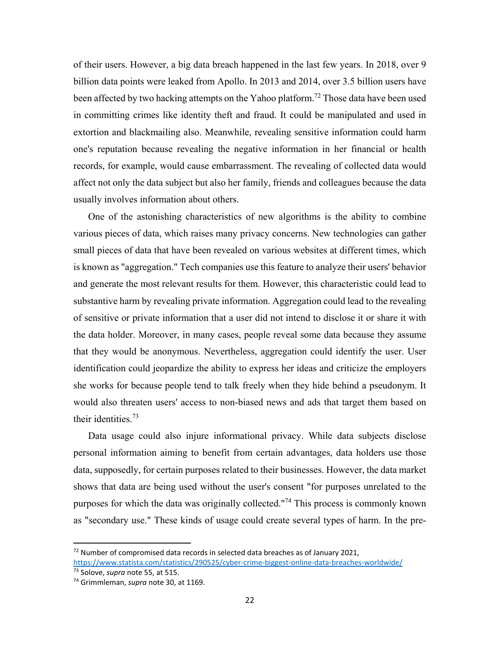of their users. However, a big data breach happened in the last few years. In 2018, over 9 billion data points were leaked from Apollo. In 2013 and 2014, over 3.5 billion users have been affected by two hacking attempts on the Yahoo platform.<sup>72</sup> Those data have been used in committing crimes like identity theft and fraud. It could be manipulated and used in extortion and blackmailing also. Meanwhile, revealing sensitive information could harm one's reputation because revealing the negative information in her financial or health records, for example, would cause embarrassment. The revealing of collected data would affect not only the data subject but also her family, friends and colleagues because the data usually involves information about others.

One of the astonishing characteristics of new algorithms is the ability to combine various pieces of data, which raises many privacy concerns. New technologies can gather small pieces of data that have been revealed on various websites at different times, which is known as "aggregation." Tech companies use this feature to analyze their users' behavior and generate the most relevant results for them. However, this characteristic could lead to substantive harm by revealing private information. Aggregation could lead to the revealing of sensitive or private information that a user did not intend to disclose it or share it with the data holder. Moreover, in many cases, people reveal some data because they assume that they would be anonymous. Nevertheless, aggregation could identify the user. User identification could jeopardize the ability to express her ideas and criticize the employers she works for because people tend to talk freely when they hide behind a pseudonym. It would also threaten users' access to non-biased news and ads that target them based on their identities.73

Data usage could also injure informational privacy. While data subjects disclose personal information aiming to benefit from certain advantages, data holders use those data, supposedly, for certain purposes related to their businesses. However, the data market shows that data are being used without the user's consent "for purposes unrelated to the purposes for which the data was originally collected."74 This process is commonly known as "secondary use." These kinds of usage could create several types of harm. In the pre-

 $72$  Number of compromised data records in selected data breaches as of January 2021, https://www.statista.com/statistics/290525/cyber‐crime‐biggest‐online‐data‐breaches‐worldwide/

<sup>73</sup> Solove, *supra* note 55, at 515.

<sup>74</sup> Grimmleman, *supra* note 30, at 1169.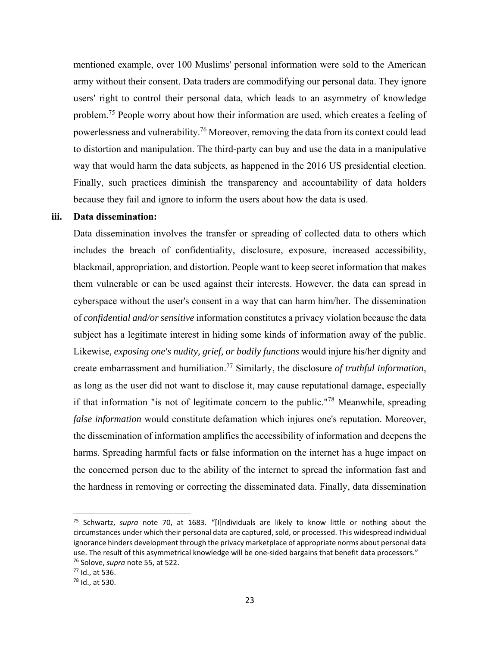mentioned example, over 100 Muslims' personal information were sold to the American army without their consent. Data traders are commodifying our personal data. They ignore users' right to control their personal data, which leads to an asymmetry of knowledge problem.<sup>75</sup> People worry about how their information are used, which creates a feeling of powerlessness and vulnerability.<sup>76</sup> Moreover, removing the data from its context could lead to distortion and manipulation. The third-party can buy and use the data in a manipulative way that would harm the data subjects, as happened in the 2016 US presidential election. Finally, such practices diminish the transparency and accountability of data holders because they fail and ignore to inform the users about how the data is used.

# **iii. Data dissemination:**

Data dissemination involves the transfer or spreading of collected data to others which includes the breach of confidentiality, disclosure, exposure, increased accessibility, blackmail, appropriation, and distortion. People want to keep secret information that makes them vulnerable or can be used against their interests. However, the data can spread in cyberspace without the user's consent in a way that can harm him/her. The dissemination of *confidential and/or sensitive* information constitutes a privacy violation because the data subject has a legitimate interest in hiding some kinds of information away of the public. Likewise*, exposing one's nudity, grief, or bodily functions* would injure his/her dignity and create embarrassment and humiliation.77 Similarly, the disclosure *of truthful information*, as long as the user did not want to disclose it, may cause reputational damage, especially if that information "is not of legitimate concern to the public."78 Meanwhile, spreading *false information* would constitute defamation which injures one's reputation. Moreover, the dissemination of information amplifies the accessibility of information and deepens the harms. Spreading harmful facts or false information on the internet has a huge impact on the concerned person due to the ability of the internet to spread the information fast and the hardness in removing or correcting the disseminated data. Finally, data dissemination

<sup>75</sup> Schwartz, *supra* note 70, at 1683. "[I]ndividuals are likely to know little or nothing about the circumstances under which their personal data are captured, sold, or processed. This widespread individual ignorance hinders development through the privacy marketplace of appropriate norms about personal data use. The result of this asymmetrical knowledge will be one-sided bargains that benefit data processors." 76 Solove, *supra* note 55, at 522.

<sup>77</sup> Id., at 536.

<sup>78</sup> Id., at 530.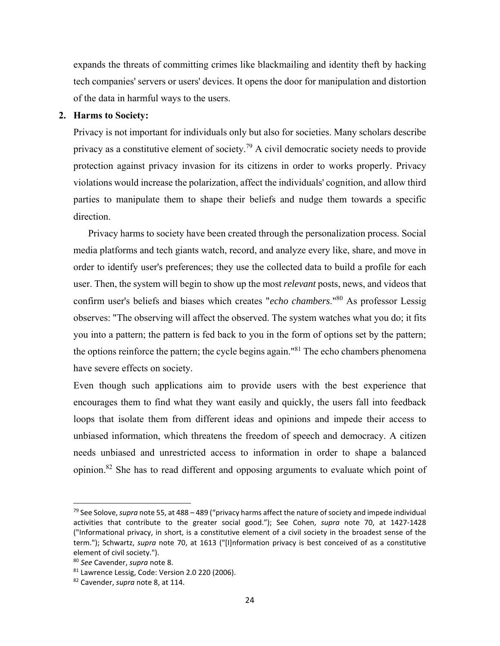expands the threats of committing crimes like blackmailing and identity theft by hacking tech companies' servers or users' devices. It opens the door for manipulation and distortion of the data in harmful ways to the users.

#### **2. Harms to Society:**

Privacy is not important for individuals only but also for societies. Many scholars describe privacy as a constitutive element of society.<sup>79</sup> A civil democratic society needs to provide protection against privacy invasion for its citizens in order to works properly. Privacy violations would increase the polarization, affect the individuals' cognition, and allow third parties to manipulate them to shape their beliefs and nudge them towards a specific direction.

Privacy harms to society have been created through the personalization process. Social media platforms and tech giants watch, record, and analyze every like, share, and move in order to identify user's preferences; they use the collected data to build a profile for each user. Then, the system will begin to show up the most *relevant* posts, news, and videos that confirm user's beliefs and biases which creates "*echo chambers*."80 As professor Lessig observes: "The observing will affect the observed. The system watches what you do; it fits you into a pattern; the pattern is fed back to you in the form of options set by the pattern; the options reinforce the pattern; the cycle begins again.<sup> $81$ </sup> The echo chambers phenomena have severe effects on society.

Even though such applications aim to provide users with the best experience that encourages them to find what they want easily and quickly, the users fall into feedback loops that isolate them from different ideas and opinions and impede their access to unbiased information, which threatens the freedom of speech and democracy. A citizen needs unbiased and unrestricted access to information in order to shape a balanced opinion.82 She has to read different and opposing arguments to evaluate which point of

<sup>79</sup> See Solove, *supra* note 55, at 488 – 489 ("privacy harms affect the nature of society and impede individual activities that contribute to the greater social good."); See Cohen, *supra* note 70, at 1427‐1428 ("Informational privacy, in short, is a constitutive element of a civil society in the broadest sense of the term."); Schwartz, *supra* note 70, at 1613 ("[I]nformation privacy is best conceived of as a constitutive element of civil society.").

<sup>80</sup> *See* Cavender, *supra* note 8.

<sup>81</sup> Lawrence Lessig, Code: Version 2.0 220 (2006).

<sup>82</sup> Cavender, *supra* note 8, at 114.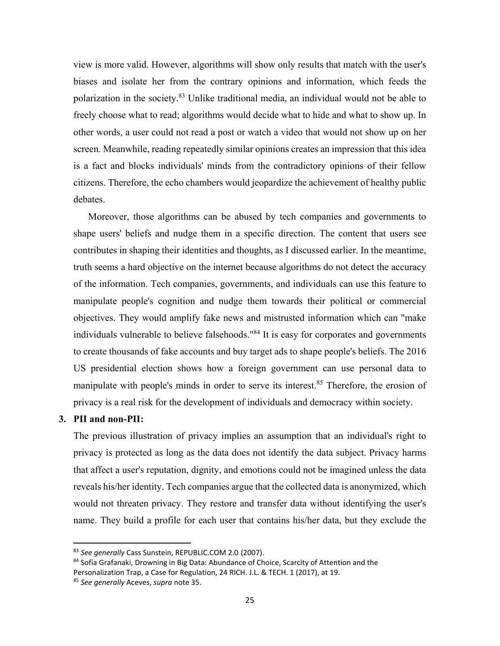view is more valid. However, algorithms will show only results that match with the user's biases and isolate her from the contrary opinions and information, which feeds the polarization in the society.<sup>83</sup> Unlike traditional media, an individual would not be able to freely choose what to read; algorithms would decide what to hide and what to show up. In other words, a user could not read a post or watch a video that would not show up on her screen. Meanwhile, reading repeatedly similar opinions creates an impression that this idea is a fact and blocks individuals' minds from the contradictory opinions of their fellow citizens. Therefore, the echo chambers would jeopardize the achievement of healthy public debates.

Moreover, those algorithms can be abused by tech companies and governments to shape users' beliefs and nudge them in a specific direction. The content that users see contributes in shaping their identities and thoughts, as I discussed earlier. In the meantime, truth seems a hard objective on the internet because algorithms do not detect the accuracy of the information. Tech companies, governments, and individuals can use this feature to manipulate people's cognition and nudge them towards their political or commercial objectives. They would amplify fake news and mistrusted information which can "make individuals vulnerable to believe falsehoods.<sup>"84</sup> It is easy for corporates and governments to create thousands of fake accounts and buy target ads to shape people's beliefs. The 2016 US presidential election shows how a foreign government can use personal data to manipulate with people's minds in order to serve its interest.<sup>85</sup> Therefore, the erosion of privacy is a real risk for the development of individuals and democracy within society.

# **3. PII and non-PII:**

The previous illustration of privacy implies an assumption that an individual's right to privacy is protected as long as the data does not identify the data subject. Privacy harms that affect a user's reputation, dignity, and emotions could not be imagined unless the data reveals his/her identity. Tech companies argue that the collected data is anonymized, which would not threaten privacy. They restore and transfer data without identifying the user's name. They build a profile for each user that contains his/her data, but they exclude the

<sup>83</sup> *See generally* Cass Sunstein, REPUBLIC.COM 2.0 (2007).

<sup>&</sup>lt;sup>84</sup> Sofia Grafanaki, Drowning in Big Data: Abundance of Choice, Scarcity of Attention and the Personalization Trap, a Case for Regulation, 24 RICH. J.L. & TECH. 1 (2017), at 19. <sup>85</sup> *See generally* Aceves, *supra* note 35.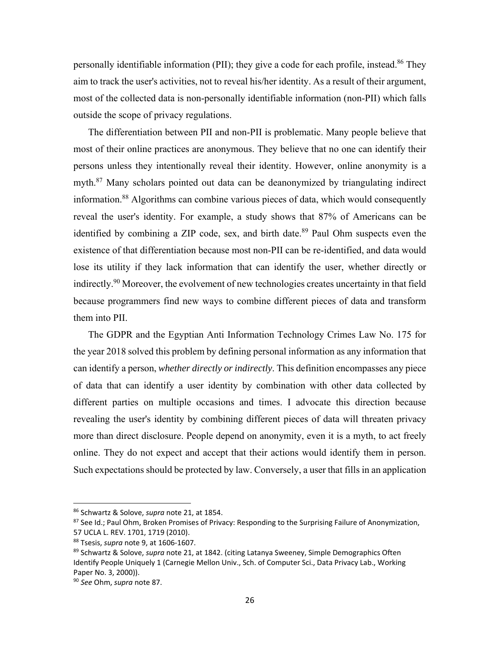personally identifiable information (PII); they give a code for each profile, instead.<sup>86</sup> They aim to track the user's activities, not to reveal his/her identity. As a result of their argument, most of the collected data is non-personally identifiable information (non-PII) which falls outside the scope of privacy regulations.

The differentiation between PII and non-PII is problematic. Many people believe that most of their online practices are anonymous. They believe that no one can identify their persons unless they intentionally reveal their identity. However, online anonymity is a myth.<sup>87</sup> Many scholars pointed out data can be deanonymized by triangulating indirect information.88 Algorithms can combine various pieces of data, which would consequently reveal the user's identity. For example, a study shows that 87% of Americans can be identified by combining a ZIP code, sex, and birth date.<sup>89</sup> Paul Ohm suspects even the existence of that differentiation because most non-PII can be re-identified, and data would lose its utility if they lack information that can identify the user, whether directly or indirectly.<sup>90</sup> Moreover, the evolvement of new technologies creates uncertainty in that field because programmers find new ways to combine different pieces of data and transform them into PII.

The GDPR and the Egyptian Anti Information Technology Crimes Law No. 175 for the year 2018 solved this problem by defining personal information as any information that can identify a person, *whether directly or indirectly*. This definition encompasses any piece of data that can identify a user identity by combination with other data collected by different parties on multiple occasions and times. I advocate this direction because revealing the user's identity by combining different pieces of data will threaten privacy more than direct disclosure. People depend on anonymity, even it is a myth, to act freely online. They do not expect and accept that their actions would identify them in person. Such expectations should be protected by law. Conversely, a user that fills in an application

<sup>86</sup> Schwartz & Solove, *supra* note 21, at 1854.

<sup>87</sup> See Id.; Paul Ohm, Broken Promises of Privacy: Responding to the Surprising Failure of Anonymization, 57 UCLA L. REV. 1701, 1719 (2010).

<sup>88</sup> Tsesis, *supra* note 9, at 1606‐1607.

<sup>89</sup> Schwartz & Solove, *supra* note 21, at 1842. (citing Latanya Sweeney, Simple Demographics Often Identify People Uniquely 1 (Carnegie Mellon Univ., Sch. of Computer Sci., Data Privacy Lab., Working Paper No. 3, 2000)).

<sup>90</sup> *See* Ohm, *supra* note 87.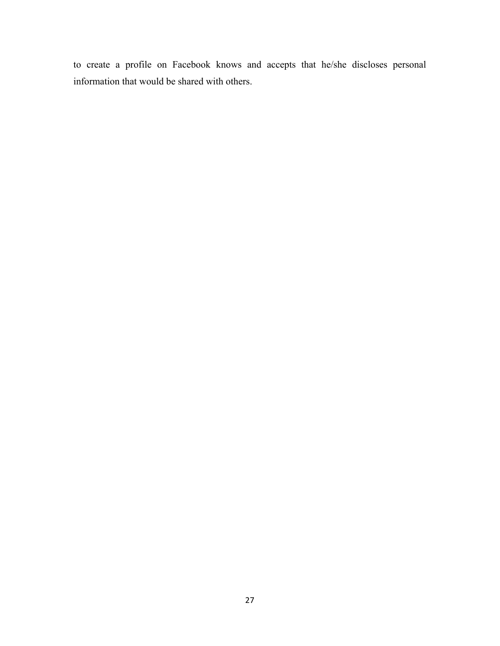to create a profile on Facebook knows and accepts that he/she discloses personal information that would be shared with others.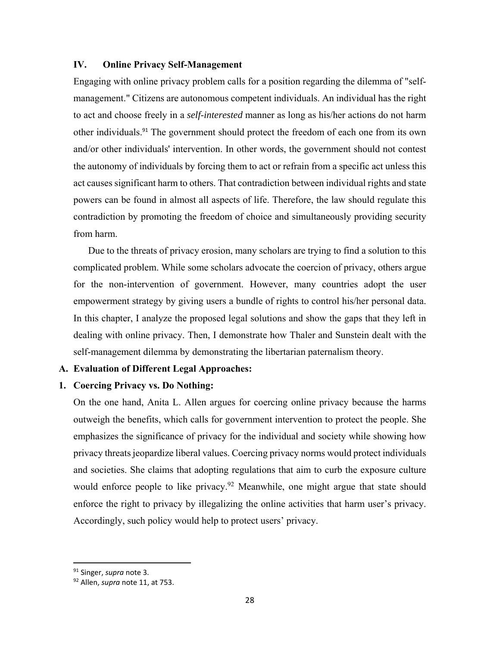#### **IV. Online Privacy Self-Management**

Engaging with online privacy problem calls for a position regarding the dilemma of "selfmanagement." Citizens are autonomous competent individuals. An individual has the right to act and choose freely in a *self-interested* manner as long as his/her actions do not harm other individuals.<sup>91</sup> The government should protect the freedom of each one from its own and/or other individuals' intervention. In other words, the government should not contest the autonomy of individuals by forcing them to act or refrain from a specific act unless this act causes significant harm to others. That contradiction between individual rights and state powers can be found in almost all aspects of life. Therefore, the law should regulate this contradiction by promoting the freedom of choice and simultaneously providing security from harm.

Due to the threats of privacy erosion, many scholars are trying to find a solution to this complicated problem. While some scholars advocate the coercion of privacy, others argue for the non-intervention of government. However, many countries adopt the user empowerment strategy by giving users a bundle of rights to control his/her personal data. In this chapter, I analyze the proposed legal solutions and show the gaps that they left in dealing with online privacy. Then, I demonstrate how Thaler and Sunstein dealt with the self-management dilemma by demonstrating the libertarian paternalism theory.

### **A. Evaluation of Different Legal Approaches:**

# **1. Coercing Privacy vs. Do Nothing:**

On the one hand, Anita L. Allen argues for coercing online privacy because the harms outweigh the benefits, which calls for government intervention to protect the people. She emphasizes the significance of privacy for the individual and society while showing how privacy threats jeopardize liberal values. Coercing privacy norms would protect individuals and societies. She claims that adopting regulations that aim to curb the exposure culture would enforce people to like privacy.<sup>92</sup> Meanwhile, one might argue that state should enforce the right to privacy by illegalizing the online activities that harm user's privacy. Accordingly, such policy would help to protect users' privacy.

<sup>91</sup> Singer, *supra* note 3.

<sup>92</sup> Allen, *supra* note 11, at 753.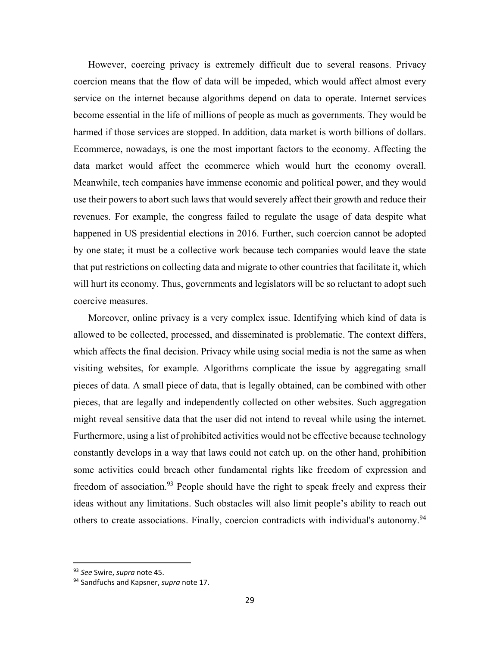However, coercing privacy is extremely difficult due to several reasons. Privacy coercion means that the flow of data will be impeded, which would affect almost every service on the internet because algorithms depend on data to operate. Internet services become essential in the life of millions of people as much as governments. They would be harmed if those services are stopped. In addition, data market is worth billions of dollars. Ecommerce, nowadays, is one the most important factors to the economy. Affecting the data market would affect the ecommerce which would hurt the economy overall. Meanwhile, tech companies have immense economic and political power, and they would use their powers to abort such laws that would severely affect their growth and reduce their revenues. For example, the congress failed to regulate the usage of data despite what happened in US presidential elections in 2016. Further, such coercion cannot be adopted by one state; it must be a collective work because tech companies would leave the state that put restrictions on collecting data and migrate to other countries that facilitate it, which will hurt its economy. Thus, governments and legislators will be so reluctant to adopt such coercive measures.

Moreover, online privacy is a very complex issue. Identifying which kind of data is allowed to be collected, processed, and disseminated is problematic. The context differs, which affects the final decision. Privacy while using social media is not the same as when visiting websites, for example. Algorithms complicate the issue by aggregating small pieces of data. A small piece of data, that is legally obtained, can be combined with other pieces, that are legally and independently collected on other websites. Such aggregation might reveal sensitive data that the user did not intend to reveal while using the internet. Furthermore, using a list of prohibited activities would not be effective because technology constantly develops in a way that laws could not catch up. on the other hand, prohibition some activities could breach other fundamental rights like freedom of expression and freedom of association.<sup>93</sup> People should have the right to speak freely and express their ideas without any limitations. Such obstacles will also limit people's ability to reach out others to create associations. Finally, coercion contradicts with individual's autonomy.<sup>94</sup>

<sup>93</sup> *See* Swire, *supra* note 45.

<sup>94</sup> Sandfuchs and Kapsner, *supra* note 17.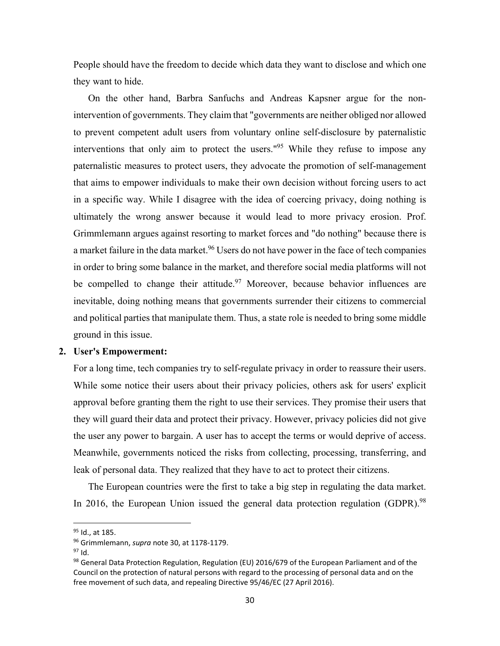People should have the freedom to decide which data they want to disclose and which one they want to hide.

On the other hand, Barbra Sanfuchs and Andreas Kapsner argue for the nonintervention of governments. They claim that "governments are neither obliged nor allowed to prevent competent adult users from voluntary online self-disclosure by paternalistic interventions that only aim to protect the users."<sup>95</sup> While they refuse to impose any paternalistic measures to protect users, they advocate the promotion of self-management that aims to empower individuals to make their own decision without forcing users to act in a specific way. While I disagree with the idea of coercing privacy, doing nothing is ultimately the wrong answer because it would lead to more privacy erosion. Prof. Grimmlemann argues against resorting to market forces and "do nothing" because there is a market failure in the data market.<sup>96</sup> Users do not have power in the face of tech companies in order to bring some balance in the market, and therefore social media platforms will not be compelled to change their attitude.<sup>97</sup> Moreover, because behavior influences are inevitable, doing nothing means that governments surrender their citizens to commercial and political parties that manipulate them. Thus, a state role is needed to bring some middle ground in this issue.

#### **2. User's Empowerment:**

For a long time, tech companies try to self-regulate privacy in order to reassure their users. While some notice their users about their privacy policies, others ask for users' explicit approval before granting them the right to use their services. They promise their users that they will guard their data and protect their privacy. However, privacy policies did not give the user any power to bargain. A user has to accept the terms or would deprive of access. Meanwhile, governments noticed the risks from collecting, processing, transferring, and leak of personal data. They realized that they have to act to protect their citizens.

The European countries were the first to take a big step in regulating the data market. In 2016, the European Union issued the general data protection regulation (GDPR).<sup>98</sup>

 $95$  Id., at 185.

<sup>96</sup> Grimmlemann, *supra* note 30, at 1178‐1179.

<sup>97</sup> Id.

 $98$  General Data Protection Regulation, Regulation (EU) 2016/679 of the European Parliament and of the Council on the protection of natural persons with regard to the processing of personal data and on the free movement of such data, and repealing Directive 95/46/EC (27 April 2016).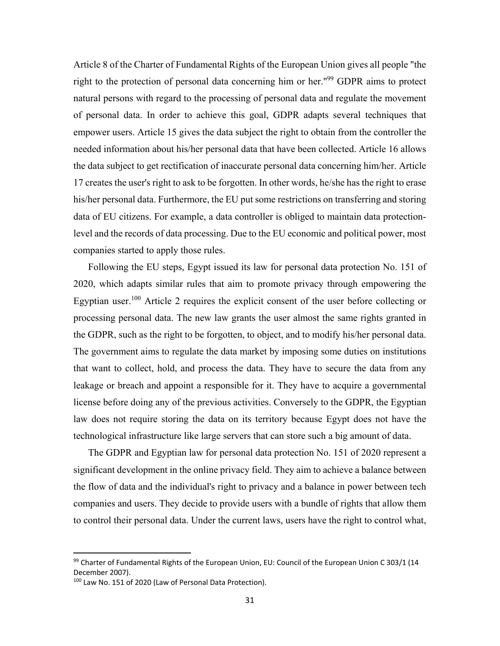Article 8 of the Charter of Fundamental Rights of the European Union gives all people "the right to the protection of personal data concerning him or her."<sup>99</sup> GDPR aims to protect natural persons with regard to the processing of personal data and regulate the movement of personal data. In order to achieve this goal, GDPR adapts several techniques that empower users. Article 15 gives the data subject the right to obtain from the controller the needed information about his/her personal data that have been collected. Article 16 allows the data subject to get rectification of inaccurate personal data concerning him/her. Article 17 creates the user's right to ask to be forgotten. In other words, he/she has the right to erase his/her personal data. Furthermore, the EU put some restrictions on transferring and storing data of EU citizens. For example, a data controller is obliged to maintain data protectionlevel and the records of data processing. Due to the EU economic and political power, most companies started to apply those rules.

Following the EU steps, Egypt issued its law for personal data protection No. 151 of 2020, which adapts similar rules that aim to promote privacy through empowering the Egyptian user.<sup>100</sup> Article 2 requires the explicit consent of the user before collecting or processing personal data. The new law grants the user almost the same rights granted in the GDPR, such as the right to be forgotten, to object, and to modify his/her personal data. The government aims to regulate the data market by imposing some duties on institutions that want to collect, hold, and process the data. They have to secure the data from any leakage or breach and appoint a responsible for it. They have to acquire a governmental license before doing any of the previous activities. Conversely to the GDPR, the Egyptian law does not require storing the data on its territory because Egypt does not have the technological infrastructure like large servers that can store such a big amount of data.

The GDPR and Egyptian law for personal data protection No. 151 of 2020 represent a significant development in the online privacy field. They aim to achieve a balance between the flow of data and the individual's right to privacy and a balance in power between tech companies and users. They decide to provide users with a bundle of rights that allow them to control their personal data. Under the current laws, users have the right to control what,

 $99$  Charter of Fundamental Rights of the European Union, EU: Council of the European Union C 303/1 (14 December 2007).

<sup>100</sup> Law No. 151 of 2020 (Law of Personal Data Protection).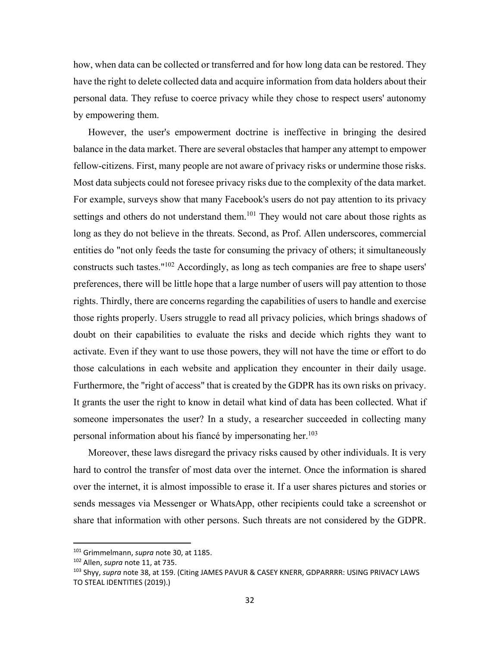how, when data can be collected or transferred and for how long data can be restored. They have the right to delete collected data and acquire information from data holders about their personal data. They refuse to coerce privacy while they chose to respect users' autonomy by empowering them.

However, the user's empowerment doctrine is ineffective in bringing the desired balance in the data market. There are several obstacles that hamper any attempt to empower fellow-citizens. First, many people are not aware of privacy risks or undermine those risks. Most data subjects could not foresee privacy risks due to the complexity of the data market. For example, surveys show that many Facebook's users do not pay attention to its privacy settings and others do not understand them.<sup>101</sup> They would not care about those rights as long as they do not believe in the threats. Second, as Prof. Allen underscores, commercial entities do "not only feeds the taste for consuming the privacy of others; it simultaneously constructs such tastes."102 Accordingly, as long as tech companies are free to shape users' preferences, there will be little hope that a large number of users will pay attention to those rights. Thirdly, there are concerns regarding the capabilities of users to handle and exercise those rights properly. Users struggle to read all privacy policies, which brings shadows of doubt on their capabilities to evaluate the risks and decide which rights they want to activate. Even if they want to use those powers, they will not have the time or effort to do those calculations in each website and application they encounter in their daily usage. Furthermore, the "right of access" that is created by the GDPR has its own risks on privacy. It grants the user the right to know in detail what kind of data has been collected. What if someone impersonates the user? In a study, a researcher succeeded in collecting many personal information about his fiance by impersonating her.<sup>103</sup>

Moreover, these laws disregard the privacy risks caused by other individuals. It is very hard to control the transfer of most data over the internet. Once the information is shared over the internet, it is almost impossible to erase it. If a user shares pictures and stories or sends messages via Messenger or WhatsApp, other recipients could take a screenshot or share that information with other persons. Such threats are not considered by the GDPR.

<sup>101</sup> Grimmelmann, *supra* note 30, at 1185.

<sup>102</sup> Allen, *supra* note 11, at 735.

<sup>103</sup> Shyy, *supra* note 38, at 159. (Citing JAMES PAVUR & CASEY KNERR, GDPARRRR: USING PRIVACY LAWS TO STEAL IDENTITIES (2019).)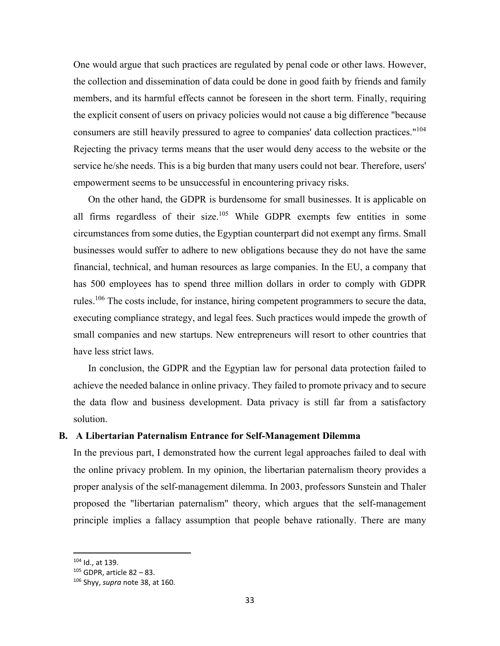One would argue that such practices are regulated by penal code or other laws. However, the collection and dissemination of data could be done in good faith by friends and family members, and its harmful effects cannot be foreseen in the short term. Finally, requiring the explicit consent of users on privacy policies would not cause a big difference "because consumers are still heavily pressured to agree to companies' data collection practices."<sup>104</sup> Rejecting the privacy terms means that the user would deny access to the website or the service he/she needs. This is a big burden that many users could not bear. Therefore, users' empowerment seems to be unsuccessful in encountering privacy risks.

On the other hand, the GDPR is burdensome for small businesses. It is applicable on all firms regardless of their size.<sup>105</sup> While GDPR exempts few entities in some circumstances from some duties, the Egyptian counterpart did not exempt any firms. Small businesses would suffer to adhere to new obligations because they do not have the same financial, technical, and human resources as large companies. In the EU, a company that has 500 employees has to spend three million dollars in order to comply with GDPR rules.<sup>106</sup> The costs include, for instance, hiring competent programmers to secure the data, executing compliance strategy, and legal fees. Such practices would impede the growth of small companies and new startups. New entrepreneurs will resort to other countries that have less strict laws.

In conclusion, the GDPR and the Egyptian law for personal data protection failed to achieve the needed balance in online privacy. They failed to promote privacy and to secure the data flow and business development. Data privacy is still far from a satisfactory solution.

#### **B. A Libertarian Paternalism Entrance for Self-Management Dilemma**

In the previous part, I demonstrated how the current legal approaches failed to deal with the online privacy problem. In my opinion, the libertarian paternalism theory provides a proper analysis of the self-management dilemma. In 2003, professors Sunstein and Thaler proposed the "libertarian paternalism" theory, which argues that the self-management principle implies a fallacy assumption that people behave rationally. There are many

<sup>104</sup> Id., at 139.

 $105$  GDPR, article 82 – 83.

<sup>106</sup> Shyy, *supra* note 38, at 160.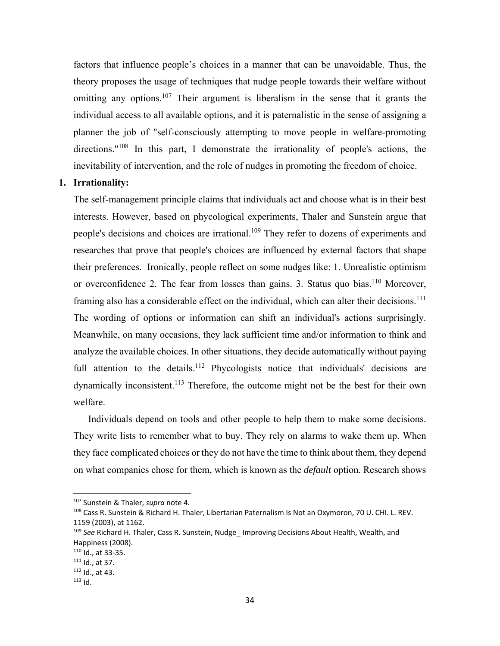factors that influence people's choices in a manner that can be unavoidable. Thus, the theory proposes the usage of techniques that nudge people towards their welfare without omitting any options.<sup>107</sup> Their argument is liberalism in the sense that it grants the individual access to all available options, and it is paternalistic in the sense of assigning a planner the job of "self-consciously attempting to move people in welfare-promoting directions."<sup>108</sup> In this part, I demonstrate the irrationality of people's actions, the inevitability of intervention, and the role of nudges in promoting the freedom of choice.

#### **1. Irrationality:**

The self-management principle claims that individuals act and choose what is in their best interests. However, based on phycological experiments, Thaler and Sunstein argue that people's decisions and choices are irrational.<sup>109</sup> They refer to dozens of experiments and researches that prove that people's choices are influenced by external factors that shape their preferences. Ironically, people reflect on some nudges like: 1. Unrealistic optimism or overconfidence 2. The fear from losses than gains. 3. Status quo bias.<sup>110</sup> Moreover, framing also has a considerable effect on the individual, which can alter their decisions.<sup>111</sup> The wording of options or information can shift an individual's actions surprisingly. Meanwhile, on many occasions, they lack sufficient time and/or information to think and analyze the available choices. In other situations, they decide automatically without paying full attention to the details.<sup>112</sup> Phycologists notice that individuals' decisions are dynamically inconsistent.<sup>113</sup> Therefore, the outcome might not be the best for their own welfare.

Individuals depend on tools and other people to help them to make some decisions. They write lists to remember what to buy. They rely on alarms to wake them up. When they face complicated choices or they do not have the time to think about them, they depend on what companies chose for them, which is known as the *default* option. Research shows

 107 Sunstein & Thaler, *supra* note 4.

<sup>108</sup> Cass R. Sunstein & Richard H. Thaler, Libertarian Paternalism Is Not an Oxymoron, 70 U. CHI. L. REV. 1159 (2003), at 1162.

<sup>109</sup> *See* Richard H. Thaler, Cass R. Sunstein, Nudge\_ Improving Decisions About Health, Wealth, and Happiness (2008).

<sup>110</sup> Id., at 33‐35.

 $111$  Id., at 37.

<sup>112</sup> Id., at 43.

 $113$  Id.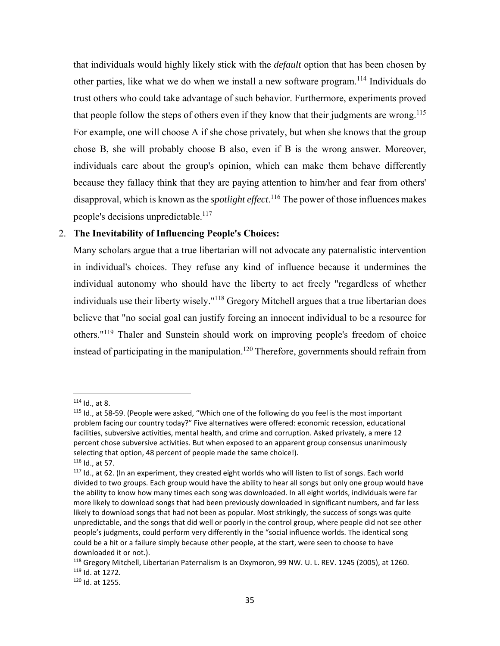that individuals would highly likely stick with the *default* option that has been chosen by other parties, like what we do when we install a new software program.<sup>114</sup> Individuals do trust others who could take advantage of such behavior. Furthermore, experiments proved that people follow the steps of others even if they know that their judgments are wrong.<sup>115</sup> For example, one will choose A if she chose privately, but when she knows that the group chose B, she will probably choose B also, even if B is the wrong answer. Moreover, individuals care about the group's opinion, which can make them behave differently because they fallacy think that they are paying attention to him/her and fear from others' disapproval, which is known as the *spotlight effect*. 116 The power of those influences makes people's decisions unpredictable.<sup>117</sup>

# 2. **The Inevitability of Influencing People's Choices:**

Many scholars argue that a true libertarian will not advocate any paternalistic intervention in individual's choices. They refuse any kind of influence because it undermines the individual autonomy who should have the liberty to act freely "regardless of whether individuals use their liberty wisely."<sup>118</sup> Gregory Mitchell argues that a true libertarian does believe that "no social goal can justify forcing an innocent individual to be a resource for others."119 Thaler and Sunstein should work on improving people's freedom of choice instead of participating in the manipulation.<sup>120</sup> Therefore, governments should refrain from

 $114$  Id., at 8.

<sup>115</sup> Id., at 58-59. (People were asked, "Which one of the following do you feel is the most important problem facing our country today?" Five alternatives were offered: economic recession, educational facilities, subversive activities, mental health, and crime and corruption. Asked privately, a mere 12 percent chose subversive activities. But when exposed to an apparent group consensus unanimously selecting that option, 48 percent of people made the same choice!).

<sup>116</sup> Id., at 57.

 $117$  Id., at 62. (In an experiment, they created eight worlds who will listen to list of songs. Each world divided to two groups. Each group would have the ability to hear all songs but only one group would have the ability to know how many times each song was downloaded. In all eight worlds, individuals were far more likely to download songs that had been previously downloaded in significant numbers, and far less likely to download songs that had not been as popular. Most strikingly, the success of songs was quite unpredictable, and the songs that did well or poorly in the control group, where people did not see other people's judgments, could perform very differently in the "social influence worlds. The identical song could be a hit or a failure simply because other people, at the start, were seen to choose to have downloaded it or not.).

<sup>118</sup> Gregory Mitchell, Libertarian Paternalism Is an Oxymoron, 99 NW. U. L. REV. 1245 (2005), at 1260. 119 Id. at 1272.

<sup>120</sup> Id. at 1255.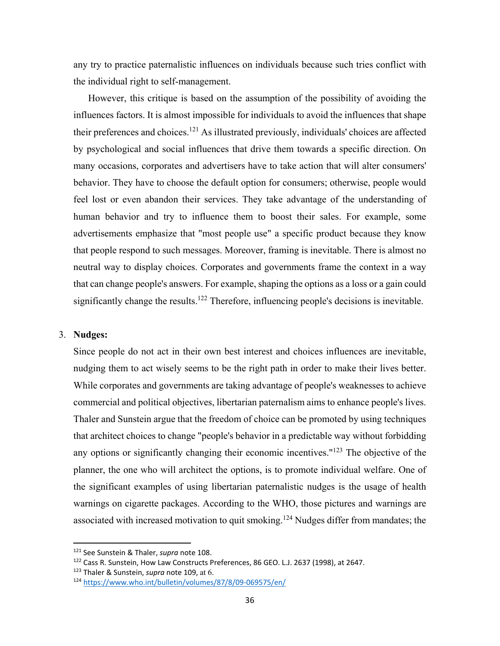any try to practice paternalistic influences on individuals because such tries conflict with the individual right to self-management.

However, this critique is based on the assumption of the possibility of avoiding the influences factors. It is almost impossible for individuals to avoid the influences that shape their preferences and choices.121 As illustrated previously, individuals' choices are affected by psychological and social influences that drive them towards a specific direction. On many occasions, corporates and advertisers have to take action that will alter consumers' behavior. They have to choose the default option for consumers; otherwise, people would feel lost or even abandon their services. They take advantage of the understanding of human behavior and try to influence them to boost their sales. For example, some advertisements emphasize that "most people use" a specific product because they know that people respond to such messages. Moreover, framing is inevitable. There is almost no neutral way to display choices. Corporates and governments frame the context in a way that can change people's answers. For example, shaping the options as a loss or a gain could significantly change the results.<sup>122</sup> Therefore, influencing people's decisions is inevitable.

#### 3. **Nudges:**

Since people do not act in their own best interest and choices influences are inevitable, nudging them to act wisely seems to be the right path in order to make their lives better. While corporates and governments are taking advantage of people's weaknesses to achieve commercial and political objectives, libertarian paternalism aims to enhance people's lives. Thaler and Sunstein argue that the freedom of choice can be promoted by using techniques that architect choices to change "people's behavior in a predictable way without forbidding any options or significantly changing their economic incentives."<sup>123</sup> The objective of the planner, the one who will architect the options, is to promote individual welfare. One of the significant examples of using libertarian paternalistic nudges is the usage of health warnings on cigarette packages. According to the WHO, those pictures and warnings are associated with increased motivation to quit smoking.<sup>124</sup> Nudges differ from mandates; the

<sup>121</sup> See Sunstein & Thaler, *supra* note 108.

<sup>122</sup> Cass R. Sunstein, How Law Constructs Preferences, 86 GEO. L.J. 2637 (1998), at 2647.

<sup>123</sup> Thaler & Sunstein, *supra* note 109, at 6.

<sup>124</sup> https://www.who.int/bulletin/volumes/87/8/09‐069575/en/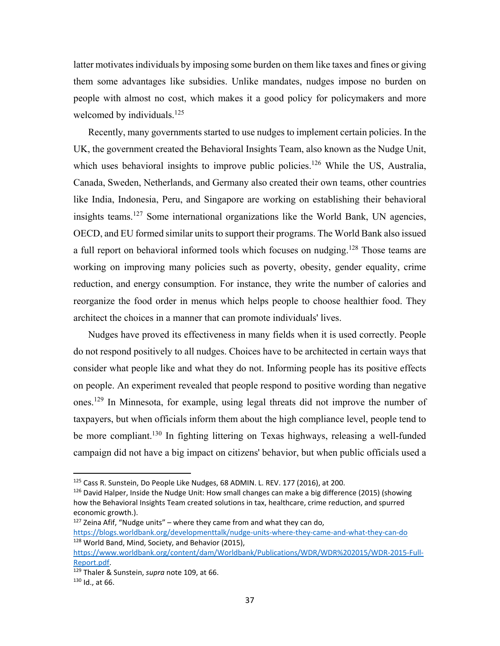latter motivates individuals by imposing some burden on them like taxes and fines or giving them some advantages like subsidies. Unlike mandates, nudges impose no burden on people with almost no cost, which makes it a good policy for policymakers and more welcomed by individuals.<sup>125</sup>

Recently, many governments started to use nudges to implement certain policies. In the UK, the government created the Behavioral Insights Team, also known as the Nudge Unit, which uses behavioral insights to improve public policies.<sup>126</sup> While the US, Australia, Canada, Sweden, Netherlands, and Germany also created their own teams, other countries like India, Indonesia, Peru, and Singapore are working on establishing their behavioral insights teams.<sup>127</sup> Some international organizations like the World Bank, UN agencies, OECD, and EU formed similar units to support their programs. The World Bank also issued a full report on behavioral informed tools which focuses on nudging.<sup>128</sup> Those teams are working on improving many policies such as poverty, obesity, gender equality, crime reduction, and energy consumption. For instance, they write the number of calories and reorganize the food order in menus which helps people to choose healthier food. They architect the choices in a manner that can promote individuals' lives.

Nudges have proved its effectiveness in many fields when it is used correctly. People do not respond positively to all nudges. Choices have to be architected in certain ways that consider what people like and what they do not. Informing people has its positive effects on people. An experiment revealed that people respond to positive wording than negative ones.129 In Minnesota, for example, using legal threats did not improve the number of taxpayers, but when officials inform them about the high compliance level, people tend to be more compliant.<sup>130</sup> In fighting littering on Texas highways, releasing a well-funded campaign did not have a big impact on citizens' behavior, but when public officials used a

 $127$  Zeina Afif, "Nudge units" – where they came from and what they can do, https://blogs.worldbank.org/developmenttalk/nudge-units-where-they-came-and-what-they-can-do <sup>128</sup> World Band, Mind, Society, and Behavior (2015),

<sup>&</sup>lt;sup>125</sup> Cass R. Sunstein, Do People Like Nudges, 68 ADMIN. L. REV. 177 (2016), at 200.

 $126$  David Halper, Inside the Nudge Unit: How small changes can make a big difference (2015) (showing how the Behavioral Insights Team created solutions in tax, healthcare, crime reduction, and spurred economic growth.).

https://www.worldbank.org/content/dam/Worldbank/Publications/WDR/WDR%202015/WDR‐2015‐Full‐ Report.pdf.

<sup>129</sup> Thaler & Sunstein, *supra* note 109, at 66.  $130$  Id., at 66.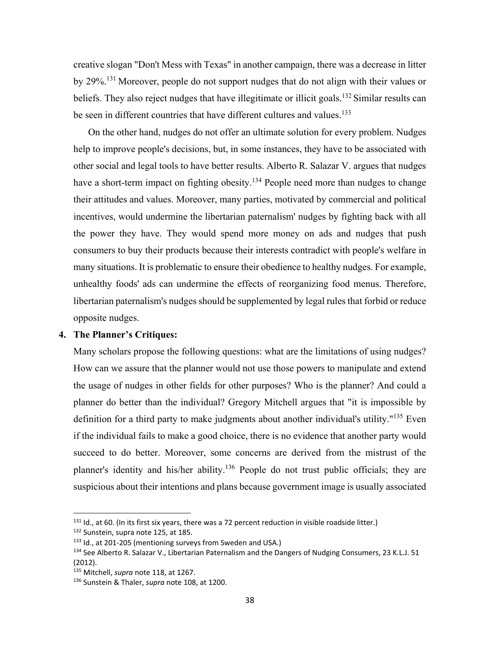creative slogan "Don't Mess with Texas" in another campaign, there was a decrease in litter by 29%.131 Moreover, people do not support nudges that do not align with their values or beliefs. They also reject nudges that have illegitimate or illicit goals.<sup>132</sup> Similar results can be seen in different countries that have different cultures and values.<sup>133</sup>

On the other hand, nudges do not offer an ultimate solution for every problem. Nudges help to improve people's decisions, but, in some instances, they have to be associated with other social and legal tools to have better results. Alberto R. Salazar V. argues that nudges have a short-term impact on fighting obesity.<sup>134</sup> People need more than nudges to change their attitudes and values. Moreover, many parties, motivated by commercial and political incentives, would undermine the libertarian paternalism' nudges by fighting back with all the power they have. They would spend more money on ads and nudges that push consumers to buy their products because their interests contradict with people's welfare in many situations. It is problematic to ensure their obedience to healthy nudges. For example, unhealthy foods' ads can undermine the effects of reorganizing food menus. Therefore, libertarian paternalism's nudges should be supplemented by legal rules that forbid or reduce opposite nudges.

#### **4. The Planner's Critiques:**

Many scholars propose the following questions: what are the limitations of using nudges? How can we assure that the planner would not use those powers to manipulate and extend the usage of nudges in other fields for other purposes? Who is the planner? And could a planner do better than the individual? Gregory Mitchell argues that "it is impossible by definition for a third party to make judgments about another individual's utility."<sup>135</sup> Even if the individual fails to make a good choice, there is no evidence that another party would succeed to do better. Moreover, some concerns are derived from the mistrust of the planner's identity and his/her ability.<sup>136</sup> People do not trust public officials; they are suspicious about their intentions and plans because government image is usually associated

 $131$  Id., at 60. (In its first six years, there was a 72 percent reduction in visible roadside litter.)

<sup>132</sup> Sunstein, supra note 125, at 185.

<sup>133</sup> Id., at 201-205 (mentioning surveys from Sweden and USA.)

<sup>134</sup> See Alberto R. Salazar V., Libertarian Paternalism and the Dangers of Nudging Consumers, 23 K.L.J. 51 (2012).

<sup>135</sup> Mitchell, *supra* note 118, at 1267.

<sup>136</sup> Sunstein & Thaler, *supra* note 108, at 1200.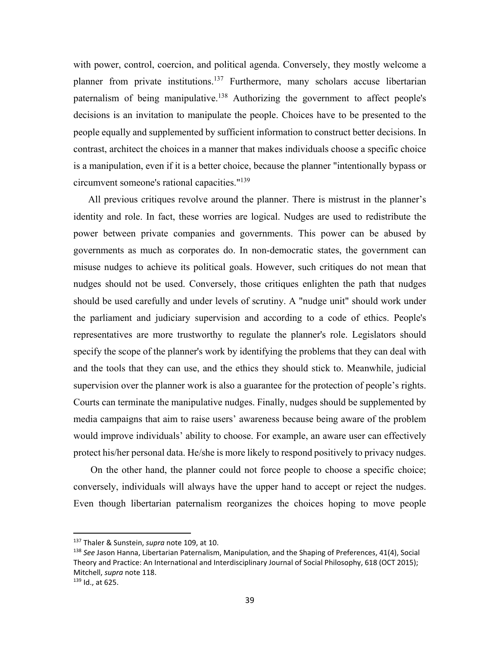with power, control, coercion, and political agenda. Conversely, they mostly welcome a planner from private institutions.137 Furthermore, many scholars accuse libertarian paternalism of being manipulative.<sup>138</sup> Authorizing the government to affect people's decisions is an invitation to manipulate the people. Choices have to be presented to the people equally and supplemented by sufficient information to construct better decisions. In contrast, architect the choices in a manner that makes individuals choose a specific choice is a manipulation, even if it is a better choice, because the planner "intentionally bypass or circumvent someone's rational capacities."139

All previous critiques revolve around the planner. There is mistrust in the planner's identity and role. In fact, these worries are logical. Nudges are used to redistribute the power between private companies and governments. This power can be abused by governments as much as corporates do. In non-democratic states, the government can misuse nudges to achieve its political goals. However, such critiques do not mean that nudges should not be used. Conversely, those critiques enlighten the path that nudges should be used carefully and under levels of scrutiny. A "nudge unit" should work under the parliament and judiciary supervision and according to a code of ethics. People's representatives are more trustworthy to regulate the planner's role. Legislators should specify the scope of the planner's work by identifying the problems that they can deal with and the tools that they can use, and the ethics they should stick to. Meanwhile, judicial supervision over the planner work is also a guarantee for the protection of people's rights. Courts can terminate the manipulative nudges. Finally, nudges should be supplemented by media campaigns that aim to raise users' awareness because being aware of the problem would improve individuals' ability to choose. For example, an aware user can effectively protect his/her personal data. He/she is more likely to respond positively to privacy nudges.

 On the other hand, the planner could not force people to choose a specific choice; conversely, individuals will always have the upper hand to accept or reject the nudges. Even though libertarian paternalism reorganizes the choices hoping to move people

<sup>137</sup> Thaler & Sunstein, *supra* note 109, at 10.

<sup>138</sup> *See* Jason Hanna, Libertarian Paternalism, Manipulation, and the Shaping of Preferences, 41(4), Social Theory and Practice: An International and Interdisciplinary Journal of Social Philosophy, 618 (OCT 2015); Mitchell, *supra* note 118.

 $139$  Id., at 625.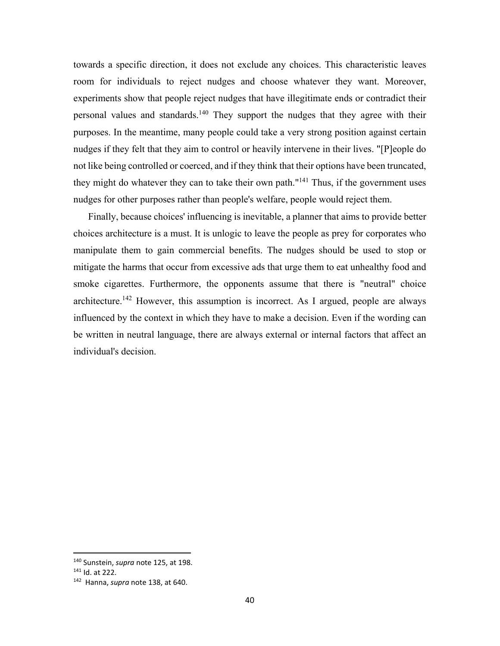towards a specific direction, it does not exclude any choices. This characteristic leaves room for individuals to reject nudges and choose whatever they want. Moreover, experiments show that people reject nudges that have illegitimate ends or contradict their personal values and standards.140 They support the nudges that they agree with their purposes. In the meantime, many people could take a very strong position against certain nudges if they felt that they aim to control or heavily intervene in their lives. "[P]eople do not like being controlled or coerced, and if they think that their options have been truncated, they might do whatever they can to take their own path."<sup>141</sup> Thus, if the government uses nudges for other purposes rather than people's welfare, people would reject them.

Finally, because choices' influencing is inevitable, a planner that aims to provide better choices architecture is a must. It is unlogic to leave the people as prey for corporates who manipulate them to gain commercial benefits. The nudges should be used to stop or mitigate the harms that occur from excessive ads that urge them to eat unhealthy food and smoke cigarettes. Furthermore, the opponents assume that there is "neutral" choice architecture.<sup>142</sup> However, this assumption is incorrect. As I argued, people are always influenced by the context in which they have to make a decision. Even if the wording can be written in neutral language, there are always external or internal factors that affect an individual's decision.

 140 Sunstein, *supra* note 125, at 198.

<sup>141</sup> Id. at 222.

<sup>142</sup> Hanna, *supra* note 138, at 640.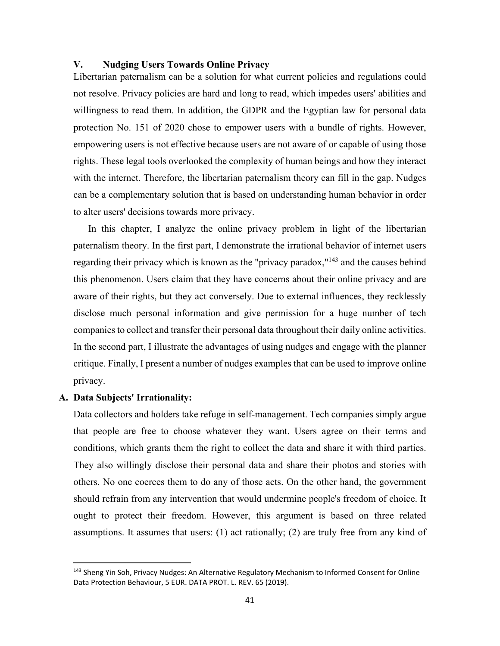### **V. Nudging Users Towards Online Privacy**

Libertarian paternalism can be a solution for what current policies and regulations could not resolve. Privacy policies are hard and long to read, which impedes users' abilities and willingness to read them. In addition, the GDPR and the Egyptian law for personal data protection No. 151 of 2020 chose to empower users with a bundle of rights. However, empowering users is not effective because users are not aware of or capable of using those rights. These legal tools overlooked the complexity of human beings and how they interact with the internet. Therefore, the libertarian paternalism theory can fill in the gap. Nudges can be a complementary solution that is based on understanding human behavior in order to alter users' decisions towards more privacy.

In this chapter, I analyze the online privacy problem in light of the libertarian paternalism theory. In the first part, I demonstrate the irrational behavior of internet users regarding their privacy which is known as the "privacy paradox,"143 and the causes behind this phenomenon. Users claim that they have concerns about their online privacy and are aware of their rights, but they act conversely. Due to external influences, they recklessly disclose much personal information and give permission for a huge number of tech companies to collect and transfer their personal data throughout their daily online activities. In the second part, I illustrate the advantages of using nudges and engage with the planner critique. Finally, I present a number of nudges examples that can be used to improve online privacy.

#### **A. Data Subjects' Irrationality:**

Data collectors and holders take refuge in self-management. Tech companies simply argue that people are free to choose whatever they want. Users agree on their terms and conditions, which grants them the right to collect the data and share it with third parties. They also willingly disclose their personal data and share their photos and stories with others. No one coerces them to do any of those acts. On the other hand, the government should refrain from any intervention that would undermine people's freedom of choice. It ought to protect their freedom. However, this argument is based on three related assumptions. It assumes that users: (1) act rationally; (2) are truly free from any kind of

<sup>&</sup>lt;sup>143</sup> Sheng Yin Soh, Privacy Nudges: An Alternative Regulatory Mechanism to Informed Consent for Online Data Protection Behaviour, 5 EUR. DATA PROT. L. REV. 65 (2019).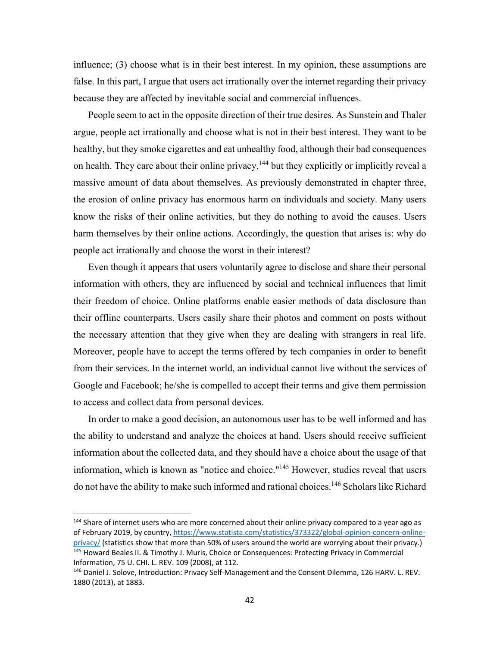influence; (3) choose what is in their best interest. In my opinion, these assumptions are false. In this part, I argue that users act irrationally over the internet regarding their privacy because they are affected by inevitable social and commercial influences.

People seem to act in the opposite direction of their true desires. As Sunstein and Thaler argue, people act irrationally and choose what is not in their best interest. They want to be healthy, but they smoke cigarettes and eat unhealthy food, although their bad consequences on health. They care about their online privacy,<sup>144</sup> but they explicitly or implicitly reveal a massive amount of data about themselves. As previously demonstrated in chapter three, the erosion of online privacy has enormous harm on individuals and society. Many users know the risks of their online activities, but they do nothing to avoid the causes. Users harm themselves by their online actions. Accordingly, the question that arises is: why do people act irrationally and choose the worst in their interest?

Even though it appears that users voluntarily agree to disclose and share their personal information with others, they are influenced by social and technical influences that limit their freedom of choice. Online platforms enable easier methods of data disclosure than their offline counterparts. Users easily share their photos and comment on posts without the necessary attention that they give when they are dealing with strangers in real life. Moreover, people have to accept the terms offered by tech companies in order to benefit from their services. In the internet world, an individual cannot live without the services of Google and Facebook; he/she is compelled to accept their terms and give them permission to access and collect data from personal devices.

In order to make a good decision, an autonomous user has to be well informed and has the ability to understand and analyze the choices at hand. Users should receive sufficient information about the collected data, and they should have a choice about the usage of that information, which is known as "notice and choice."145 However, studies reveal that users do not have the ability to make such informed and rational choices.<sup>146</sup> Scholars like Richard

<sup>&</sup>lt;sup>144</sup> Share of internet users who are more concerned about their online privacy compared to a year ago as of February 2019, by country, https://www.statista.com/statistics/373322/global-opinion-concern-onlineprivacy/ (statistics show that more than 50% of users around the world are worrying about their privacy.) 145 Howard Beales II. & Timothy J. Muris, Choice or Consequences: Protecting Privacy in Commercial Information, 75 U. CHI. L. REV. 109 (2008), at 112.

<sup>146</sup> Daniel J. Solove, Introduction: Privacy Self‐Management and the Consent Dilemma, 126 HARV. L. REV. 1880 (2013), at 1883.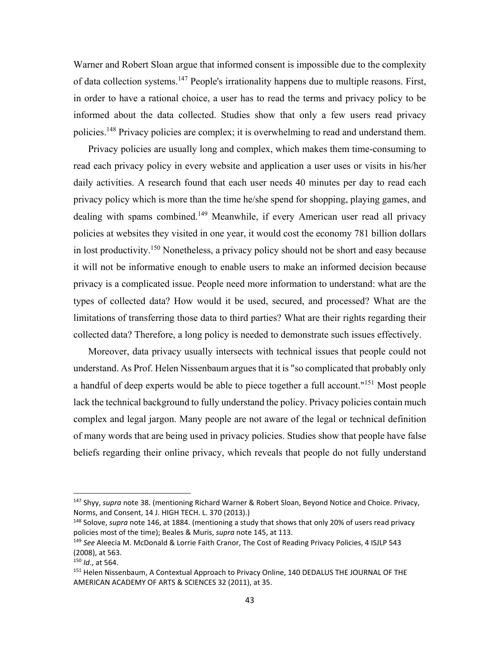Warner and Robert Sloan argue that informed consent is impossible due to the complexity of data collection systems.<sup>147</sup> People's irrationality happens due to multiple reasons. First, in order to have a rational choice, a user has to read the terms and privacy policy to be informed about the data collected. Studies show that only a few users read privacy policies.<sup>148</sup> Privacy policies are complex; it is overwhelming to read and understand them.

Privacy policies are usually long and complex, which makes them time-consuming to read each privacy policy in every website and application a user uses or visits in his/her daily activities. A research found that each user needs 40 minutes per day to read each privacy policy which is more than the time he/she spend for shopping, playing games, and dealing with spams combined.<sup>149</sup> Meanwhile, if every American user read all privacy policies at websites they visited in one year, it would cost the economy 781 billion dollars in lost productivity.150 Nonetheless, a privacy policy should not be short and easy because it will not be informative enough to enable users to make an informed decision because privacy is a complicated issue. People need more information to understand: what are the types of collected data? How would it be used, secured, and processed? What are the limitations of transferring those data to third parties? What are their rights regarding their collected data? Therefore, a long policy is needed to demonstrate such issues effectively.

Moreover, data privacy usually intersects with technical issues that people could not understand. As Prof. Helen Nissenbaum argues that it is "so complicated that probably only a handful of deep experts would be able to piece together a full account."151 Most people lack the technical background to fully understand the policy. Privacy policies contain much complex and legal jargon. Many people are not aware of the legal or technical definition of many words that are being used in privacy policies. Studies show that people have false beliefs regarding their online privacy, which reveals that people do not fully understand

<sup>147</sup> Shyy, *supra* note 38. (mentioning Richard Warner & Robert Sloan, Beyond Notice and Choice. Privacy, Norms, and Consent, 14 J. HIGH TECH. L. 370 (2013).)

<sup>148</sup> Solove, *supra* note 146, at 1884. (mentioning a study that shows that only 20% of users read privacy policies most of the time); Beales & Muris, *supra* note 145, at 113.

<sup>149</sup> *See* Aleecia M. McDonald & Lorrie Faith Cranor, The Cost of Reading Privacy Policies, 4 ISJLP 543 (2008), at 563.

<sup>150</sup> *Id*., at 564.

<sup>&</sup>lt;sup>151</sup> Helen Nissenbaum, A Contextual Approach to Privacy Online, 140 DEDALUS THE JOURNAL OF THE AMERICAN ACADEMY OF ARTS & SCIENCES 32 (2011), at 35.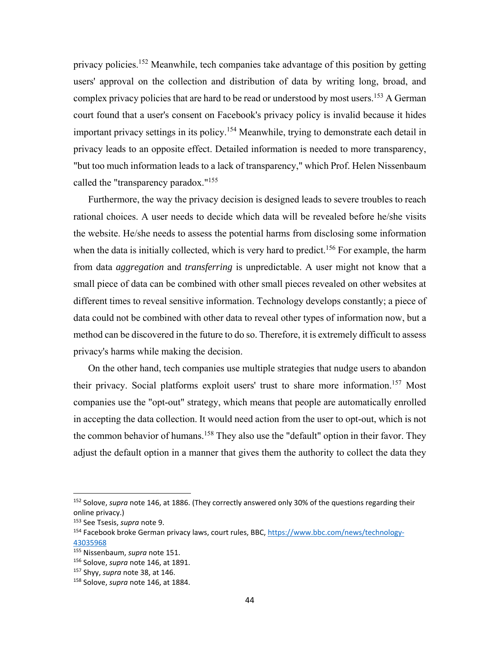privacy policies.<sup>152</sup> Meanwhile, tech companies take advantage of this position by getting users' approval on the collection and distribution of data by writing long, broad, and complex privacy policies that are hard to be read or understood by most users.<sup>153</sup> A German court found that a user's consent on Facebook's privacy policy is invalid because it hides important privacy settings in its policy.<sup>154</sup> Meanwhile, trying to demonstrate each detail in privacy leads to an opposite effect. Detailed information is needed to more transparency, "but too much information leads to a lack of transparency," which Prof. Helen Nissenbaum called the "transparency paradox."155

Furthermore, the way the privacy decision is designed leads to severe troubles to reach rational choices. A user needs to decide which data will be revealed before he/she visits the website. He/she needs to assess the potential harms from disclosing some information when the data is initially collected, which is very hard to predict.<sup>156</sup> For example, the harm from data *aggregation* and *transferring* is unpredictable. A user might not know that a small piece of data can be combined with other small pieces revealed on other websites at different times to reveal sensitive information. Technology develops constantly; a piece of data could not be combined with other data to reveal other types of information now, but a method can be discovered in the future to do so. Therefore, it is extremely difficult to assess privacy's harms while making the decision.

On the other hand, tech companies use multiple strategies that nudge users to abandon their privacy. Social platforms exploit users' trust to share more information.<sup>157</sup> Most companies use the "opt-out" strategy, which means that people are automatically enrolled in accepting the data collection. It would need action from the user to opt-out, which is not the common behavior of humans.<sup>158</sup> They also use the "default" option in their favor. They adjust the default option in a manner that gives them the authority to collect the data they

<sup>152</sup> Solove, *supra* note 146, at 1886. (They correctly answered only 30% of the questions regarding their online privacy.)

<sup>153</sup> See Tsesis, *supra* note 9.

<sup>154</sup> Facebook broke German privacy laws, court rules, BBC, https://www.bbc.com/news/technology‐ 43035968

<sup>155</sup> Nissenbaum, *supra* note 151.

<sup>156</sup> Solove, *supra* note 146, at 1891.

<sup>157</sup> Shyy, *supra* note 38, at 146.

<sup>158</sup> Solove, *supra* note 146, at 1884.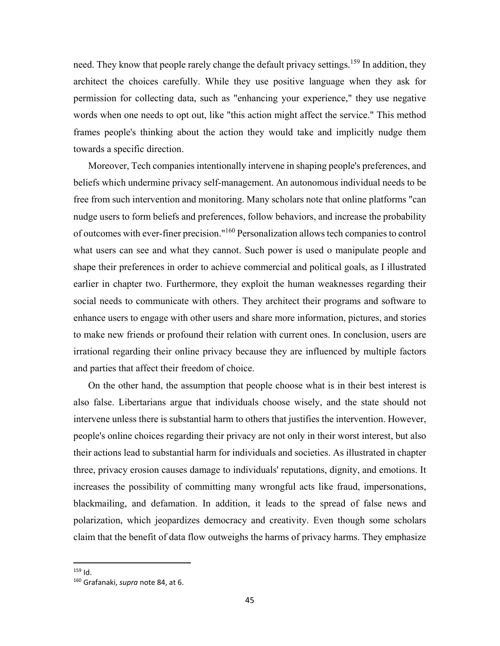need. They know that people rarely change the default privacy settings.<sup>159</sup> In addition, they architect the choices carefully. While they use positive language when they ask for permission for collecting data, such as "enhancing your experience," they use negative words when one needs to opt out, like "this action might affect the service." This method frames people's thinking about the action they would take and implicitly nudge them towards a specific direction.

Moreover, Tech companies intentionally intervene in shaping people's preferences, and beliefs which undermine privacy self-management. An autonomous individual needs to be free from such intervention and monitoring. Many scholars note that online platforms "can nudge users to form beliefs and preferences, follow behaviors, and increase the probability of outcomes with ever-finer precision."160 Personalization allows tech companies to control what users can see and what they cannot. Such power is used o manipulate people and shape their preferences in order to achieve commercial and political goals, as I illustrated earlier in chapter two. Furthermore, they exploit the human weaknesses regarding their social needs to communicate with others. They architect their programs and software to enhance users to engage with other users and share more information, pictures, and stories to make new friends or profound their relation with current ones. In conclusion, users are irrational regarding their online privacy because they are influenced by multiple factors and parties that affect their freedom of choice.

On the other hand, the assumption that people choose what is in their best interest is also false. Libertarians argue that individuals choose wisely, and the state should not intervene unless there is substantial harm to others that justifies the intervention. However, people's online choices regarding their privacy are not only in their worst interest, but also their actions lead to substantial harm for individuals and societies. As illustrated in chapter three, privacy erosion causes damage to individuals' reputations, dignity, and emotions. It increases the possibility of committing many wrongful acts like fraud, impersonations, blackmailing, and defamation. In addition, it leads to the spread of false news and polarization, which jeopardizes democracy and creativity. Even though some scholars claim that the benefit of data flow outweighs the harms of privacy harms. They emphasize

 $159$  Id.

<sup>160</sup> Grafanaki, *supra* note 84, at 6.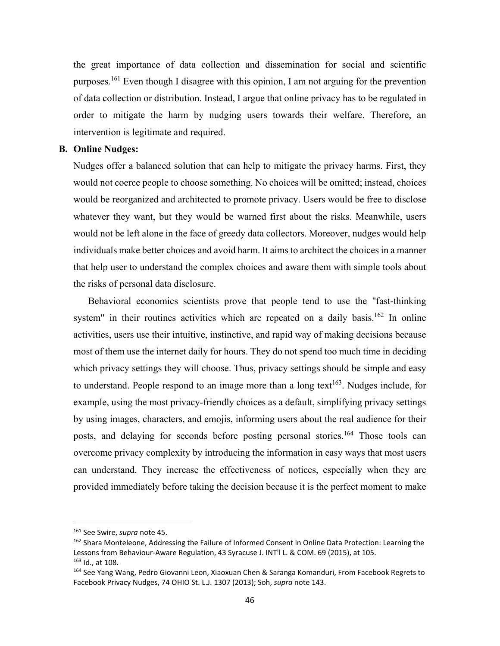the great importance of data collection and dissemination for social and scientific purposes.<sup>161</sup> Even though I disagree with this opinion, I am not arguing for the prevention of data collection or distribution. Instead, I argue that online privacy has to be regulated in order to mitigate the harm by nudging users towards their welfare. Therefore, an intervention is legitimate and required.

### **B. Online Nudges:**

Nudges offer a balanced solution that can help to mitigate the privacy harms. First, they would not coerce people to choose something. No choices will be omitted; instead, choices would be reorganized and architected to promote privacy. Users would be free to disclose whatever they want, but they would be warned first about the risks. Meanwhile, users would not be left alone in the face of greedy data collectors. Moreover, nudges would help individuals make better choices and avoid harm. It aims to architect the choices in a manner that help user to understand the complex choices and aware them with simple tools about the risks of personal data disclosure.

Behavioral economics scientists prove that people tend to use the "fast-thinking system" in their routines activities which are repeated on a daily basis.<sup>162</sup> In online activities, users use their intuitive, instinctive, and rapid way of making decisions because most of them use the internet daily for hours. They do not spend too much time in deciding which privacy settings they will choose. Thus, privacy settings should be simple and easy to understand. People respond to an image more than a long text<sup>163</sup>. Nudges include, for example, using the most privacy-friendly choices as a default, simplifying privacy settings by using images, characters, and emojis, informing users about the real audience for their posts, and delaying for seconds before posting personal stories.<sup>164</sup> Those tools can overcome privacy complexity by introducing the information in easy ways that most users can understand. They increase the effectiveness of notices, especially when they are provided immediately before taking the decision because it is the perfect moment to make

<sup>161</sup> See Swire, *supra* note 45.

<sup>&</sup>lt;sup>162</sup> Shara Monteleone, Addressing the Failure of Informed Consent in Online Data Protection: Learning the Lessons from Behaviour‐Aware Regulation, 43 Syracuse J. INT'l L. & COM. 69 (2015), at 105.  $163$  Id., at 108.

<sup>164</sup> See Yang Wang, Pedro Giovanni Leon, Xiaoxuan Chen & Saranga Komanduri, From Facebook Regrets to Facebook Privacy Nudges, 74 OHIO St. L.J. 1307 (2013); Soh, *supra* note 143.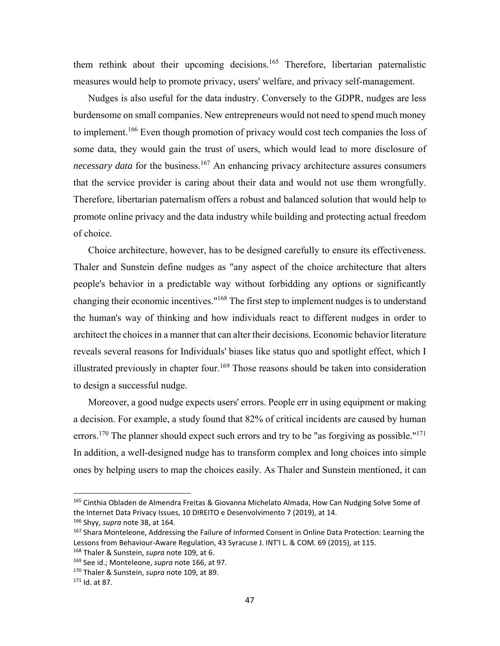them rethink about their upcoming decisions.<sup>165</sup> Therefore, libertarian paternalistic measures would help to promote privacy, users' welfare, and privacy self-management.

Nudges is also useful for the data industry. Conversely to the GDPR, nudges are less burdensome on small companies. New entrepreneurs would not need to spend much money to implement.<sup>166</sup> Even though promotion of privacy would cost tech companies the loss of some data, they would gain the trust of users, which would lead to more disclosure of *necessary data* for the business.<sup>167</sup> An enhancing privacy architecture assures consumers that the service provider is caring about their data and would not use them wrongfully. Therefore, libertarian paternalism offers a robust and balanced solution that would help to promote online privacy and the data industry while building and protecting actual freedom of choice.

Choice architecture, however, has to be designed carefully to ensure its effectiveness. Thaler and Sunstein define nudges as "any aspect of the choice architecture that alters people's behavior in a predictable way without forbidding any options or significantly changing their economic incentives."168 The first step to implement nudges is to understand the human's way of thinking and how individuals react to different nudges in order to architect the choices in a manner that can alter their decisions. Economic behavior literature reveals several reasons for Individuals' biases like status quo and spotlight effect, which I illustrated previously in chapter four.<sup>169</sup> Those reasons should be taken into consideration to design a successful nudge.

Moreover, a good nudge expects users' errors. People err in using equipment or making a decision. For example, a study found that 82% of critical incidents are caused by human errors.<sup>170</sup> The planner should expect such errors and try to be "as forgiving as possible."<sup>171</sup> In addition, a well-designed nudge has to transform complex and long choices into simple ones by helping users to map the choices easily. As Thaler and Sunstein mentioned, it can

<sup>&</sup>lt;sup>165</sup> Cinthia Obladen de Almendra Freitas & Giovanna Michelato Almada, How Can Nudging Solve Some of the Internet Data Privacy Issues, 10 DIREITO e Desenvolvimento 7 (2019), at 14.

<sup>166</sup> Shyy, *supra* note 38, at 164.

<sup>&</sup>lt;sup>167</sup> Shara Monteleone, Addressing the Failure of Informed Consent in Online Data Protection: Learning the Lessons from Behaviour‐Aware Regulation, 43 Syracuse J. INT'l L. & COM. 69 (2015), at 115.

<sup>168</sup> Thaler & Sunstein, *supra* note 109, at 6.

<sup>169</sup> See id.; Monteleone, *supra* note 166, at 97.

<sup>170</sup> Thaler & Sunstein, *supra* note 109, at 89.

<sup>171</sup> Id. at 87.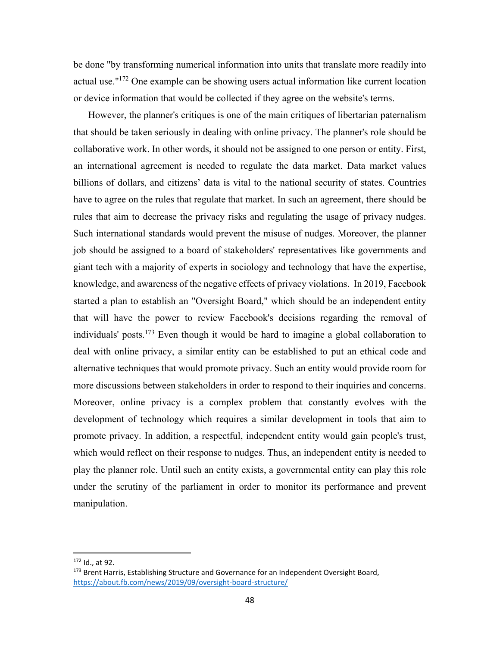be done "by transforming numerical information into units that translate more readily into actual use."172 One example can be showing users actual information like current location or device information that would be collected if they agree on the website's terms.

However, the planner's critiques is one of the main critiques of libertarian paternalism that should be taken seriously in dealing with online privacy. The planner's role should be collaborative work. In other words, it should not be assigned to one person or entity. First, an international agreement is needed to regulate the data market. Data market values billions of dollars, and citizens' data is vital to the national security of states. Countries have to agree on the rules that regulate that market. In such an agreement, there should be rules that aim to decrease the privacy risks and regulating the usage of privacy nudges. Such international standards would prevent the misuse of nudges. Moreover, the planner job should be assigned to a board of stakeholders' representatives like governments and giant tech with a majority of experts in sociology and technology that have the expertise, knowledge, and awareness of the negative effects of privacy violations. In 2019, Facebook started a plan to establish an "Oversight Board," which should be an independent entity that will have the power to review Facebook's decisions regarding the removal of individuals' posts.<sup>173</sup> Even though it would be hard to imagine a global collaboration to deal with online privacy, a similar entity can be established to put an ethical code and alternative techniques that would promote privacy. Such an entity would provide room for more discussions between stakeholders in order to respond to their inquiries and concerns. Moreover, online privacy is a complex problem that constantly evolves with the development of technology which requires a similar development in tools that aim to promote privacy. In addition, a respectful, independent entity would gain people's trust, which would reflect on their response to nudges. Thus, an independent entity is needed to play the planner role. Until such an entity exists, a governmental entity can play this role under the scrutiny of the parliament in order to monitor its performance and prevent manipulation.

<sup>172</sup> Id., at 92.

<sup>&</sup>lt;sup>173</sup> Brent Harris, Establishing Structure and Governance for an Independent Oversight Board, https://about.fb.com/news/2019/09/oversight‐board‐structure/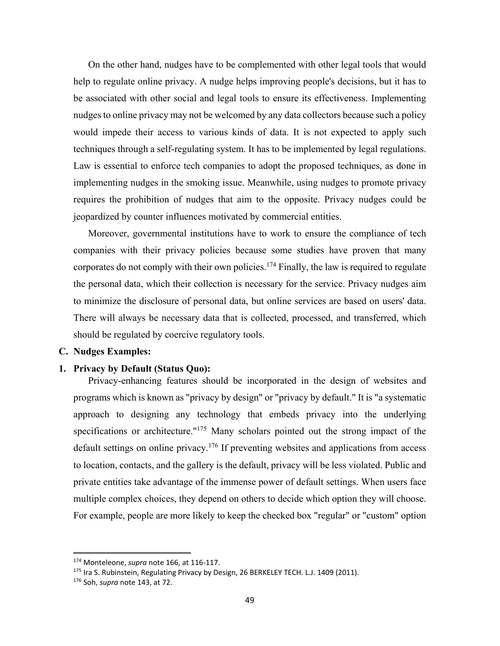On the other hand, nudges have to be complemented with other legal tools that would help to regulate online privacy. A nudge helps improving people's decisions, but it has to be associated with other social and legal tools to ensure its effectiveness. Implementing nudges to online privacy may not be welcomed by any data collectors because such a policy would impede their access to various kinds of data. It is not expected to apply such techniques through a self-regulating system. It has to be implemented by legal regulations. Law is essential to enforce tech companies to adopt the proposed techniques, as done in implementing nudges in the smoking issue. Meanwhile, using nudges to promote privacy requires the prohibition of nudges that aim to the opposite. Privacy nudges could be jeopardized by counter influences motivated by commercial entities.

Moreover, governmental institutions have to work to ensure the compliance of tech companies with their privacy policies because some studies have proven that many corporates do not comply with their own policies.<sup>174</sup> Finally, the law is required to regulate the personal data, which their collection is necessary for the service. Privacy nudges aim to minimize the disclosure of personal data, but online services are based on users' data. There will always be necessary data that is collected, processed, and transferred, which should be regulated by coercive regulatory tools.

#### **C. Nudges Examples:**

#### **1. Privacy by Default (Status Quo):**

Privacy-enhancing features should be incorporated in the design of websites and programs which is known as "privacy by design" or "privacy by default." It is "a systematic approach to designing any technology that embeds privacy into the underlying specifications or architecture."<sup>175</sup> Many scholars pointed out the strong impact of the default settings on online privacy.<sup>176</sup> If preventing websites and applications from access to location, contacts, and the gallery is the default, privacy will be less violated. Public and private entities take advantage of the immense power of default settings. When users face multiple complex choices, they depend on others to decide which option they will choose. For example, people are more likely to keep the checked box "regular" or "custom" option

<sup>174</sup> Monteleone, *supra* note 166, at 116‐117.

<sup>&</sup>lt;sup>175</sup> Ira S. Rubinstein, Regulating Privacy by Design, 26 BERKELEY TECH. L.J. 1409 (2011). 176 Soh, *supra* note 143, at 72.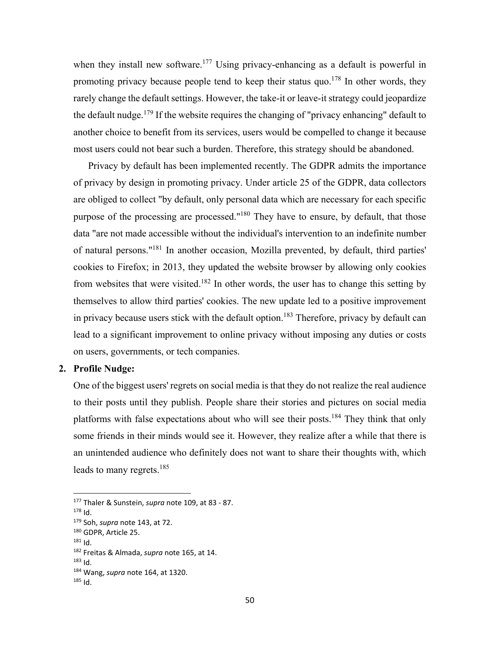when they install new software.<sup>177</sup> Using privacy-enhancing as a default is powerful in promoting privacy because people tend to keep their status quo.<sup>178</sup> In other words, they rarely change the default settings. However, the take-it or leave-it strategy could jeopardize the default nudge.<sup>179</sup> If the website requires the changing of "privacy enhancing" default to another choice to benefit from its services, users would be compelled to change it because most users could not bear such a burden. Therefore, this strategy should be abandoned.

Privacy by default has been implemented recently. The GDPR admits the importance of privacy by design in promoting privacy. Under article 25 of the GDPR, data collectors are obliged to collect "by default, only personal data which are necessary for each specific purpose of the processing are processed."180 They have to ensure, by default, that those data "are not made accessible without the individual's intervention to an indefinite number of natural persons."181 In another occasion, Mozilla prevented, by default, third parties' cookies to Firefox; in 2013, they updated the website browser by allowing only cookies from websites that were visited.<sup>182</sup> In other words, the user has to change this setting by themselves to allow third parties' cookies. The new update led to a positive improvement in privacy because users stick with the default option.<sup>183</sup> Therefore, privacy by default can lead to a significant improvement to online privacy without imposing any duties or costs on users, governments, or tech companies.

#### **2. Profile Nudge:**

One of the biggest users' regrets on social media is that they do not realize the real audience to their posts until they publish. People share their stories and pictures on social media platforms with false expectations about who will see their posts.<sup>184</sup> They think that only some friends in their minds would see it. However, they realize after a while that there is an unintended audience who definitely does not want to share their thoughts with, which leads to many regrets.<sup>185</sup>

<sup>177</sup> Thaler & Sunstein, *supra* note 109, at 83 ‐ 87.

 $178$  Id.

<sup>179</sup> Soh, *supra* note 143, at 72.

<sup>180</sup> GDPR, Article 25.

<sup>181</sup> Id.

<sup>182</sup> Freitas & Almada, *supra* note 165, at 14.

 $183$  Id.

<sup>184</sup> Wang, *supra* note 164, at 1320.

 $185$  Id.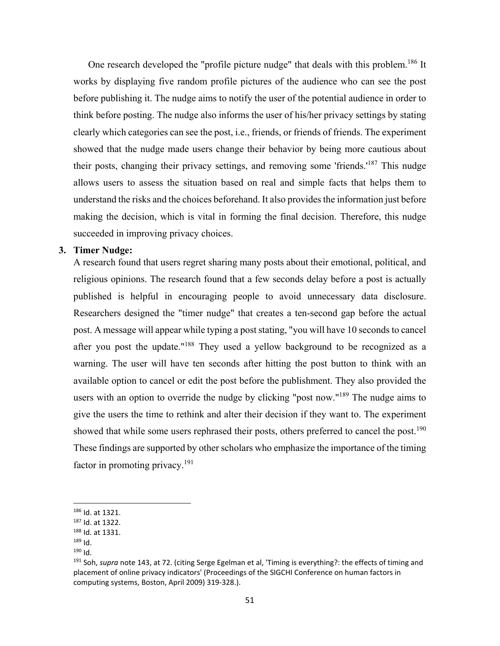One research developed the "profile picture nudge" that deals with this problem.<sup>186</sup> It works by displaying five random profile pictures of the audience who can see the post before publishing it. The nudge aims to notify the user of the potential audience in order to think before posting. The nudge also informs the user of his/her privacy settings by stating clearly which categories can see the post, i.e., friends, or friends of friends. The experiment showed that the nudge made users change their behavior by being more cautious about their posts, changing their privacy settings, and removing some 'friends.'187 This nudge allows users to assess the situation based on real and simple facts that helps them to understand the risks and the choices beforehand. It also provides the information just before making the decision, which is vital in forming the final decision. Therefore, this nudge succeeded in improving privacy choices.

#### **3. Timer Nudge:**

A research found that users regret sharing many posts about their emotional, political, and religious opinions. The research found that a few seconds delay before a post is actually published is helpful in encouraging people to avoid unnecessary data disclosure. Researchers designed the "timer nudge" that creates a ten-second gap before the actual post. A message will appear while typing a post stating, "you will have 10 seconds to cancel after you post the update."<sup>188</sup> They used a yellow background to be recognized as a warning. The user will have ten seconds after hitting the post button to think with an available option to cancel or edit the post before the publishment. They also provided the users with an option to override the nudge by clicking "post now."<sup>189</sup> The nudge aims to give the users the time to rethink and alter their decision if they want to. The experiment showed that while some users rephrased their posts, others preferred to cancel the post.<sup>190</sup> These findings are supported by other scholars who emphasize the importance of the timing factor in promoting privacy.191

<sup>186</sup> Id. at 1321.

<sup>187</sup> Id. at 1322.

<sup>188</sup> Id. at 1331.

<sup>189</sup> Id. 190 Id.

<sup>191</sup> Soh, *supra* note 143, at 72. (citing Serge Egelman et al, 'Timing is everything?: the effects of timing and placement of online privacy indicators' (Proceedings of the SIGCHI Conference on human factors in computing systems, Boston, April 2009) 319‐328.).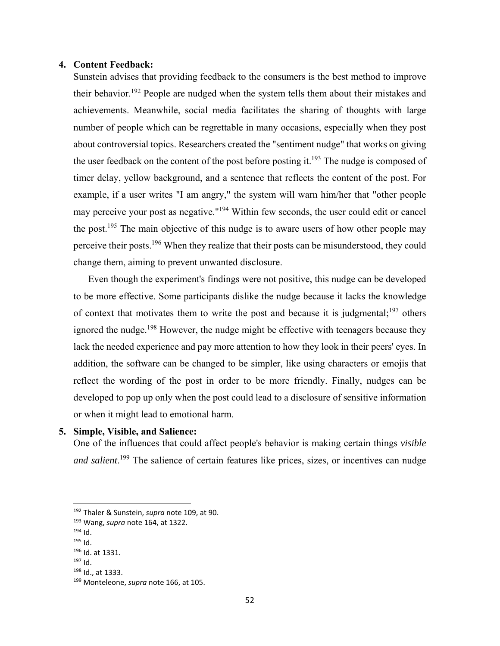#### **4. Content Feedback:**

Sunstein advises that providing feedback to the consumers is the best method to improve their behavior.<sup>192</sup> People are nudged when the system tells them about their mistakes and achievements. Meanwhile, social media facilitates the sharing of thoughts with large number of people which can be regrettable in many occasions, especially when they post about controversial topics. Researchers created the "sentiment nudge" that works on giving the user feedback on the content of the post before posting it.<sup>193</sup> The nudge is composed of timer delay, yellow background, and a sentence that reflects the content of the post. For example, if a user writes "I am angry," the system will warn him/her that "other people may perceive your post as negative."194 Within few seconds, the user could edit or cancel the post.<sup>195</sup> The main objective of this nudge is to aware users of how other people may perceive their posts.<sup>196</sup> When they realize that their posts can be misunderstood, they could change them, aiming to prevent unwanted disclosure.

Even though the experiment's findings were not positive, this nudge can be developed to be more effective. Some participants dislike the nudge because it lacks the knowledge of context that motivates them to write the post and because it is judgmental;<sup>197</sup> others ignored the nudge.<sup>198</sup> However, the nudge might be effective with teenagers because they lack the needed experience and pay more attention to how they look in their peers' eyes. In addition, the software can be changed to be simpler, like using characters or emojis that reflect the wording of the post in order to be more friendly. Finally, nudges can be developed to pop up only when the post could lead to a disclosure of sensitive information or when it might lead to emotional harm.

#### **5. Simple, Visible, and Salience:**

One of the influences that could affect people's behavior is making certain things *visible and salient*. 199 The salience of certain features like prices, sizes, or incentives can nudge

<sup>192</sup> Thaler & Sunstein, *supra* note 109, at 90.

<sup>193</sup> Wang, *supra* note 164, at 1322.

 $194$  Id.

<sup>195</sup> Id.

<sup>196</sup> Id. at 1331.

<sup>197</sup> Id.

<sup>198</sup> Id., at 1333.

<sup>199</sup> Monteleone, *supra* note 166, at 105.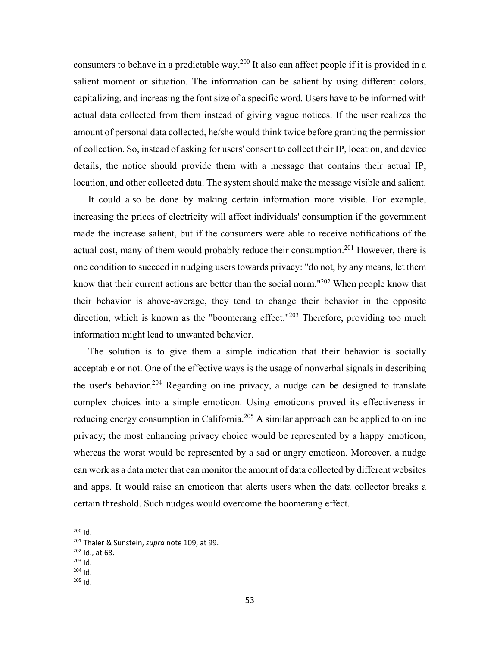consumers to behave in a predictable way.200 It also can affect people if it is provided in a salient moment or situation. The information can be salient by using different colors, capitalizing, and increasing the font size of a specific word. Users have to be informed with actual data collected from them instead of giving vague notices. If the user realizes the amount of personal data collected, he/she would think twice before granting the permission of collection. So, instead of asking for users' consent to collect their IP, location, and device details, the notice should provide them with a message that contains their actual IP, location, and other collected data. The system should make the message visible and salient.

It could also be done by making certain information more visible. For example, increasing the prices of electricity will affect individuals' consumption if the government made the increase salient, but if the consumers were able to receive notifications of the actual cost, many of them would probably reduce their consumption.<sup>201</sup> However, there is one condition to succeed in nudging users towards privacy: "do not, by any means, let them know that their current actions are better than the social norm."<sup>202</sup> When people know that their behavior is above-average, they tend to change their behavior in the opposite direction, which is known as the "boomerang effect."<sup>203</sup> Therefore, providing too much information might lead to unwanted behavior.

The solution is to give them a simple indication that their behavior is socially acceptable or not. One of the effective ways is the usage of nonverbal signals in describing the user's behavior.<sup>204</sup> Regarding online privacy, a nudge can be designed to translate complex choices into a simple emoticon. Using emoticons proved its effectiveness in reducing energy consumption in California.<sup>205</sup> A similar approach can be applied to online privacy; the most enhancing privacy choice would be represented by a happy emoticon, whereas the worst would be represented by a sad or angry emoticon. Moreover, a nudge can work as a data meter that can monitor the amount of data collected by different websites and apps. It would raise an emoticon that alerts users when the data collector breaks a certain threshold. Such nudges would overcome the boomerang effect.

 $200$  Id.

<sup>201</sup> Thaler & Sunstein, *supra* note 109, at 99.

<sup>202</sup> Id., at 68.

 $203$  Id.

 $204$  Id.

<sup>205</sup> Id.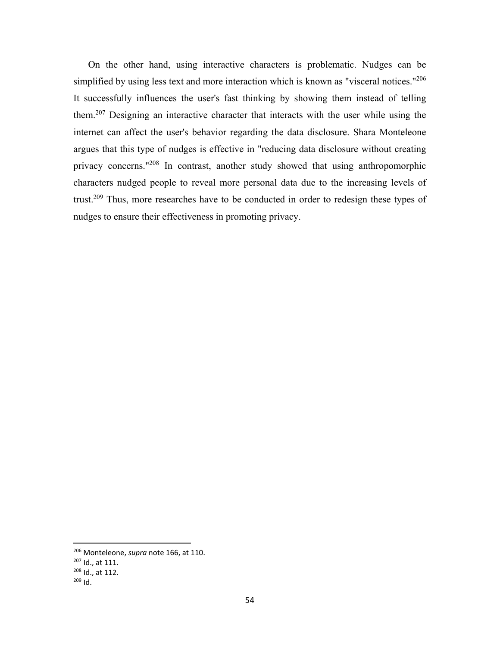On the other hand, using interactive characters is problematic. Nudges can be simplified by using less text and more interaction which is known as "visceral notices."<sup>206</sup> It successfully influences the user's fast thinking by showing them instead of telling them.207 Designing an interactive character that interacts with the user while using the internet can affect the user's behavior regarding the data disclosure. Shara Monteleone argues that this type of nudges is effective in "reducing data disclosure without creating privacy concerns."208 In contrast, another study showed that using anthropomorphic characters nudged people to reveal more personal data due to the increasing levels of trust.<sup>209</sup> Thus, more researches have to be conducted in order to redesign these types of nudges to ensure their effectiveness in promoting privacy.

<sup>206</sup> Monteleone, *supra* note 166, at 110.

<sup>207</sup> Id., at 111.

<sup>208</sup> Id., at 112.

<sup>209</sup> Id.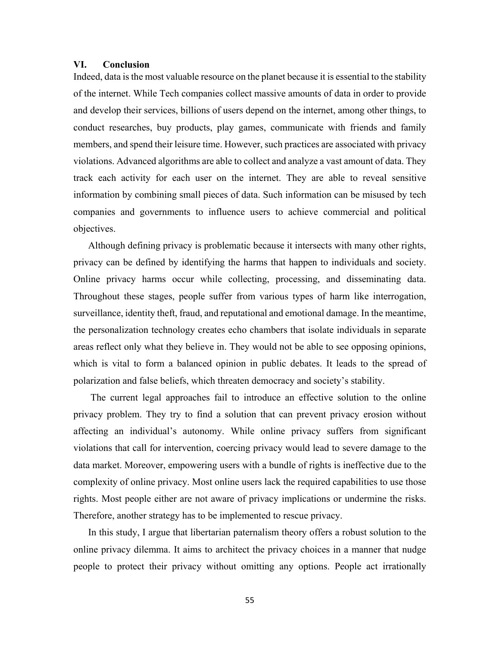#### **VI. Conclusion**

Indeed, data is the most valuable resource on the planet because it is essential to the stability of the internet. While Tech companies collect massive amounts of data in order to provide and develop their services, billions of users depend on the internet, among other things, to conduct researches, buy products, play games, communicate with friends and family members, and spend their leisure time. However, such practices are associated with privacy violations. Advanced algorithms are able to collect and analyze a vast amount of data. They track each activity for each user on the internet. They are able to reveal sensitive information by combining small pieces of data. Such information can be misused by tech companies and governments to influence users to achieve commercial and political objectives.

Although defining privacy is problematic because it intersects with many other rights, privacy can be defined by identifying the harms that happen to individuals and society. Online privacy harms occur while collecting, processing, and disseminating data. Throughout these stages, people suffer from various types of harm like interrogation, surveillance, identity theft, fraud, and reputational and emotional damage. In the meantime, the personalization technology creates echo chambers that isolate individuals in separate areas reflect only what they believe in. They would not be able to see opposing opinions, which is vital to form a balanced opinion in public debates. It leads to the spread of polarization and false beliefs, which threaten democracy and society's stability.

 The current legal approaches fail to introduce an effective solution to the online privacy problem. They try to find a solution that can prevent privacy erosion without affecting an individual's autonomy. While online privacy suffers from significant violations that call for intervention, coercing privacy would lead to severe damage to the data market. Moreover, empowering users with a bundle of rights is ineffective due to the complexity of online privacy. Most online users lack the required capabilities to use those rights. Most people either are not aware of privacy implications or undermine the risks. Therefore, another strategy has to be implemented to rescue privacy.

In this study, I argue that libertarian paternalism theory offers a robust solution to the online privacy dilemma. It aims to architect the privacy choices in a manner that nudge people to protect their privacy without omitting any options. People act irrationally